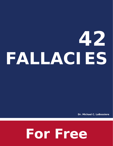# **42 FALLACIES**

 **Dr. Michael C. LaBossiere**

# **For Free**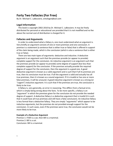# **Forty Two Fallacies (For Free)**

By Dr. Michael C. LaBossiere, ontologist@aol.com

# **Legal Information**

This book is copyright 2002‐2010 by Dr. Michael C. LaBossiere. It may be freely distributed for personal or educational use provided that it is not modified and no fee above the normal cost of distribution is charged for it.

# **Fallacies and Arguments**

In order to understand what a fallacy is, one must understand what an argument is. Very briefly an argument consists of one or more premises and one conclusion. A premise is a statement (a sentence that is either true or false) that is offered in support of the claim being made, which is the conclusion (which is also a sentence that is either true or false).

There are two main types of arguments: deductive and inductive. A deductive argument is an argument such that the premises provide (or appear to provide) complete support for the conclusion. An inductive argument is an argument such that the premises provide (or appear to provide) some degree of support (but less than complete support) for the conclusion. If the premises actually provide the required degree of support for the conclusion, then the argument is a good one. A good deductive argument is known as a valid argument and is such that if all its premises are true, then its conclusion must be true. If all the argument is valid and actually has all true premises, then it is known as a sound argument. If it is invalid or has one or more false premises, it will be unsound. A good inductive argument is known as a strong (or "cogent") inductive argument. It is such that if the premises are true, the conclusion is likely to be true.

A fallacy is, very generally, an error in reasoning. This differs from a factual error, which is simply being wrong about the facts. To be more specific, a fallacy is an "argument" in which the premises given for the conclusion do not provide the needed degree of support. A deductive fallacy is a deductive argument that is invalid (it is such that it could have all true premises and still have a false conclusion). An inductive fallacy is less formal than a deductive fallacy. They are simply "arguments" which appear to be inductive arguments, but the premises do not provided enough support for the conclusion. In such cases, even if the premises were true, the conclusion would not be more likely to be true.

#### **Example of a Deductive Argument**

Premise 1: If Bill is a cat, then Bill is a mammal. Premise 2: Bill is a cat. Conclusion: Bill is a mammal.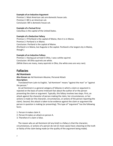#### **Example of an Inductive Argument**

Premise 1: Most American cats are domestic house cats. Premise 2: Bill is an American cat. Conclusion: Bill is domestic house cat.

#### **Example of a Factual Error**

Columbus is the capital of the United States.

#### **Example of a Deductive Fallacy**

Premise 1: If Portland is the capital of Maine, then it is in Maine. Premise 2: Portland is in Maine. Conclusion: Portland is the capital of Maine. (Portland is in Maine, but Augusta is the capital. Portland is the largest city in Maine, though.)

#### **Example of an Inductive Fallacy**

Premise 1: Having just arrived in Ohio, I saw a white squirrel. Conclusion: All Ohio squirrels are white. (While there are many, many squirrels in Ohio, the white ones are very rare).

# **Fallacies**

# **Ad Hominem**

**Also Known as:** Ad Hominem Abusive, Personal Attack **Description:**

Translated from Latin to English, "ad Hominem" means "against the man" or "against the person."

An ad Hominem is a general category of fallacies in which a claim or argument is rejected on the basis of some irrelevant fact about the author of or the person presenting the claim or argument. Typically, this fallacy involves two steps. First, an attack against the character of person making the claim, her circumstances, or her actions is made (or the character, circumstances, or actions of the person reporting the claim). Second, this attack is taken to be evidence against the claim or argument the person in question is making (or presenting). This type of "argument" has the following form:

- 1. Person A makes claim X.
- 2. Person B makes an attack on person A.
- 3. Therefore A's claim is false.

The reason why an ad Hominem (of any kind) is a fallacy is that the character, circumstances, or actions of a person do not (in most cases) have a bearing on the truth or falsity of the claim being made (or the quality of the argument being made).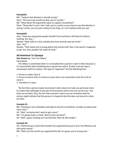Bill: "I believe that abortion is morally wrong." Dave: "Of course you would say that, you're a priest." Bill: "What about the arguments I gave to support my position?" Dave: "Those don't count. Like I said, you're a priest, so you have to say that abortion is wrong. Further, you are just a lackey to the Pope, so I can't believe what you say."

# **Example#2:**

John: "Sally was saying that people shouldn't hunt animals or kill them for food or clothing. She also…"

Wanda: "Well, Sally is a sissy crybaby who loves animals way too much." John: "So?"

Wanda: "That means she is wrong about that animal stuff. Also, if we weren't supposed to eat 'em, they wouldn't be made of meat."

# **Ad Hominem Tu Quoque**

**Also Known as:** "You Too Fallacy"

Description:

This fallacy is committed when it is concluded that a person's claim is false because 1) it is inconsistent with something else a person has said or 2) what a person says is inconsistent with her actions. This type of "argument" has the following form:

1. Person A makes claim X.

2. Person B asserts that A's actions or past claims are inconsistent with the truth of claim X.

3. Therefore X is false.

The fact that a person makes inconsistent claims does not make any particular claim he makes false (although of any pair of inconsistent claims only one can be true—but both can be false). Also, the fact that a person's claims are not consistent with his actions might indicate that the person is a hypocrite but this does not prove his claims are false.

# **Example #1:**

Bill: "Smoking is very unhealthy and leads to all sorts of problems. So take my advice and never start."

Jill: "Well, I certainly don't want to get cancer."

Bill: "I'm going to get a smoke. Want to join me Dave?"

Jill: "Well, I guess smoking can't be that bad. After all, Bill smokes."

# **Example #2:**

Jill: "I think the gun control bill shouldn't be supported because it won't be effective and will waste money."

Bill: "Well, just last month you supported the bill. So I guess you're wrong now."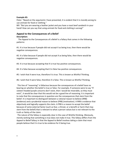Peter: "Based on the arguments I have presented, it is evident that it is morally wrong to use animals for food or clothing."

Bill: "But you are wearing a leather jacket and you have a roast beef sandwich in your hand! How can you say that using animals for food and clothing is wrong!"

# **Appeal to the Consequences of a Belief**

# **Description:**

The Appeal to the Consequences of a Belief is a fallacy that comes in the following patterns:

#1: X is true because if people did not accept X as being true, then there would be negative consequences.

#2: X is false because if people did not accept X as being false, then there would be negative consequences.

#3: X is true because accepting that X is true has positive consequences.

#4: X is false because accepting that X is false has positive consequences.

#5: I wish that X were true, therefore X is true. This is known as Wishful Thinking.

#6: I wish that X were false, therefore X is false. This is known as Wishful Thinking.

This line of "reasoning" is fallacious because the consequences of a belief have no bearing on whether the belief is true or false. For example, if someone were to say "If sixteen-headed purple unicorns don't exist, then I would be miserable, so they must exist", it would be clear that this would not be a good line of reasoning. It is important to note that the consequences in question are the consequences that stem from the belief. It is important to distinguish between a rational reason to believe (RRB) (evidence) and a prudential reason to believe (PRB) (motivation). A RRB is evidence that objectively and logically supports the claim. A PRB is a reason to accept the belief because of some external factor (such as fear, a threat, or a benefit or harm that may stem from the belief) that is relevant to what a person values but is not relevant to the truth or falsity of the claim.

The nature of the fallacy is especially clear in the case of Wishful thinking. Obviously, merely wishing that something is true does not make it true. This fallacy differs from the Appeal to Belief fallacy in that the Appeal to Belief involves taking a claim that most people believe that X is true to be evidence for X being true.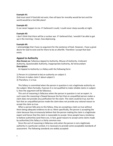God must exist! If God did not exist, then all basis for morality would be lost and the world would be a horrible place!

#### **Example #2:**

It can never happen to me. If I believed it could, I could never sleep soundly at night.

#### **Example #3:**

I don't think that there will be a nuclear war. If I believed that, I wouldn't be able to get up in the morning. I mean, how depressing.

#### **Example #4:**

I acknowledge that I have no argument for the existence of God. However, I have a great desire for God to exist and for there to be an afterlife. Therefore I accept that God exists.

# **Appeal to Authority**

**Also Known as:** Fallacious Appeal to Authority, Misuse of Authority, Irrelevant Authority, Questionable Authority, Inappropriate Authority, Ad Verecundiam **Description:**

An Appeal to Authority is a fallacy with the following form:

1) Person A is (claimed to be) an authority on subject S.

- 2) Person A makes claim C about subject S.
- 3) Therefore, C is true.

This fallacy is committed when the person in question is not a legitimate authority on the subject. More formally, if person A is not qualified to make reliable claims in subject S, then the argument will be fallacious.

This sort of reasoning is fallacious when the person in question is not an expert. In such cases the reasoning is flawed because the fact that an unqualified person makes a claim does not provide any justification for the claim. The claim could be true, but the fact that an unqualified person made the claim does not provide any rational reason to accept the claim as true.

When a person falls prey to this fallacy, they are accepting a claim as true without there being adequate evidence to do so. More specifically, the person is accepting the claim because they erroneously believe that the person making the claim is a legitimate expert and hence that the claim is reasonable to accept. Since people have a tendency to believe authorities (and there are, in fact, good reasons to accept some claims made by authorities) this fallacy is a fairly common one.

Since this sort of reasoning is fallacious only when the person is not a legitimate authority in a particular context, it is necessary to provide some acceptable standards of assessment. The following standards are widely accepted: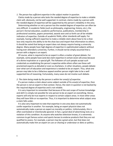#### *1. The person has sufficient expertise in the subject matter in question.*

Claims made by a person who lacks the needed degree of expertise to make a reliable claim will, obviously, not be well supported. In contrast, claims made by a person with the needed degree of expertise will be supported by the person's reliability in the area.

Determining whether or not a person has the needed degree of expertise can often be very difficult. In academic fields (such as philosophy, engineering, history, etc.), the person's formal education, academic performance, publications, membership in professional societies, papers presented, awards won and so forth can all be reliable indicators of expertise. Outside of academic fields, other standards will apply. For example, having sufficient expertise to make a reliable claim about how to tie a shoe lace only requires the ability to tie the shoe lace and impart that information to others. It should be noted that being an expert does not always require having a university degree. Many people have high degrees of expertise in sophisticated subjects without having ever attended a university. Further, it should not be simply assumed that a person with a degree is an expert.

Of course, what is required to be an expert is often a matter of great debate. For example, some people have (and do) claim expertise in certain (even all) areas because of a divine inspiration or a special gift. The followers of such people accept such credentials as establishing the person's expertise while others often see these self‐ proclaimed experts as deluded or even as charlatans. In other situations, people debate over what sort of education and experience is needed to be an expert. Thus, what one person may take to be a fallacious appeal another person might take to be a well supported line of reasoning. Fortunately, many cases do not involve such debate.

#### *2. The claim being made by the person is within her area(s) of expertise.*

If a person makes a claim about some subject outside of his area(s) of expertise, then the person is not an expert in that context. Hence, the claim in question is not backed by the required degree of expertise and is not reliable.

It is very important to remember that because of the vast scope of human knowledge and skill it is simply not possible for one person to be an expert on everything. Hence, experts will only be true experts in respect to certain subject areas. In most other areas they will have little or no expertise. Thus, it is important to determine what subject area a claim falls under.

It is also very important to note that expertise in one area does not automatically confer expertise in another. For example, being an expert physicist does not automatically make a person an expert on morality or politics. Unfortunately, this is often overlooked or intentionally ignored. In fact, a great deal of advertising rests on a violation of this condition. As anyone who watches television knows, it is extremely common to get famous actors and sports heroes to endorse products that they are not qualified to assess. For example, a person may be a great actor, but that does not automatically make him an expert on cars or shaving or underwear or diets or politics.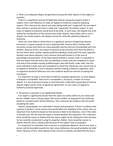# *3. There is an adequate degree of agreement among the other experts in the subject in question.*

If there is a significant amount of legitimate dispute among the experts within a subject, then it will fallacious to make an Appeal to Authority using the disputing experts. This is because for almost any claim being made and "supported" by one expert there will be a counterclaim that is made and "supported" by another expert. In such cases an Appeal to Authority would tend to be futile. In such cases, the dispute has to be settled by consideration of the actual issues under dispute. Since either side in such a dispute can invoke experts, the dispute cannot be rationally settled by Appeals to Authority.

There are many fields in which there is a significant amount of legitimate dispute. Economics is a good example of such a disputed field. Anyone who is familiar with economics knows that there are many plausible theories that are incompatible with one another. Because of this, one expert economist could sincerely claim that the deficit is the key factor while another equally qualified individual could assert the exact opposite. Another area where dispute is very common (and well known) is in the area of psychology and psychiatry. As has been demonstrated in various trials, it is possible to find one expert that will assert that an individual is insane and not competent to stand trial and to find another equally qualified expert who will testify, under oath, that the same individual is both sane and competent to stand trial. Obviously, one cannot rely on an Appeal to Authority in such a situation without making a fallacious argument. Such an argument would be fallacious since the evidence would not warrant accepting the conclusion.

It is important to keep in mind that no field has complete agreement, so some degree of dispute is acceptable. How much is acceptable is, of course, a matter of serious debate. It is also important to keep in mind that even a field with a great deal of internal dispute might contain areas of significant agreement. In such cases, an Appeal to Authority could be legitimate.

#### *4. The person in question is not significantly biased.*

If an expert is significantly biased then the claims he makes within his are of bias will be less reliable. Since a biased expert will not be reliable, an Argument from Authority based on a biased expert will be fallacious. This is because the evidence will not justify accepting the claim.

Experts, being people, are vulnerable to biases and prejudices. If there is evidence that a person is biased in some manner that would affect the reliability of her claims, then an Argument from Authority based on that person is likely to be fallacious. Even if the claim is actually true, the fact that the expert is biased weakens the argument. This is because there would be reason to believe that the expert might not be making the claim because he has carefully considered it using his expertise. Rather, there would be reason to believe that the claim is being made because of the expert's bias or prejudice.

It is important to remember that no person is completely objective. At the very least, a person will be favorable towards her own views (otherwise she would probably not hold them). Because of this, some degree of bias must be accepted, provided that the bias is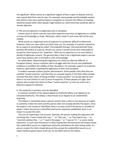not significant. What counts as a significant degree of bias is open to dispute and can vary a great deal from case to case. For example, many people would probably suspect that doctors who were paid by tobacco companies to research the effects of smoking would be biased while other people might believe (or claim) that they would be able to remain objective.

#### *5. The area of expertise is a legitimate area or discipline.*

Certain areas in which a person may claim expertise may have no legitimacy or validity as areas of knowledge or study. Obviously, claims made in such areas will not be very reliable.

What counts as a legitimate area of expertise is sometimes difficult to determine. However, there are cases which are fairly clear cut. For example, if a person claimed to be an expert at something he called "chromabullet therapy" and asserted that firing painted rifle bullets at a person would cure cancer it would not be very reasonable to accept his claim based on his "expertise." After all, his expertise is in an area which is devoid of legitimate content. The general idea is that to be a legitimate expert a person must have mastery over a real field or area of knowledge.

As noted above, determining the legitimacy of a field can often be difficult. In European history, various scientists had to struggle with the Church and established traditions to establish the validity of their disciplines. For example, experts on evolution faced an uphill battle in getting the legitimacy of their area accepted.

A modern example involves psychic phenomenon. Some people claim that they are certified "master psychics" and that they are actually experts in the field. Other people contend that their claims of being certified "master psychics" are simply absurd since there is no real content to such an area of expertise. If these people are right, then anyone who accepts the claims of these "master psychics" as true are victims of a fallacious appeal to authority.

#### *6. The authority in question must be identified.*

A common variation of the typical Appeal to Authority fallacy is an Appeal to an Unnamed Authority. This fallacy is Also Known as an Appeal to an Unidentified Authority.

This fallacy is committed when a person asserts that a claim is true because an expert or authority makes the claim and the person does not actually identify the expert. Since the expert is not named or identified, there is no way to tell if the person is actually an expert. Unless the person is identified and has his expertise established, there is no reason to accept the claim.

This sort of reasoning is not unusual. Typically, the person making the argument will say things like "I have a book that says…" , or "they say…", or "the experts say…", or "scientists believe that…", or "I read in the paper.." or "I saw on TV…" or some similar statement. in such cases the person is often hoping that the listener(s) will simply accept the unidentified source as a legitimate authority and believe the claim being made. If a person accepts the claim simply because they accept the unidentified source as an expert (without good reason to do so), he has fallen prey to this fallacy.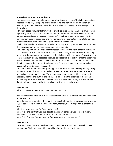#### **Non‐Fallacious Appeals to Authority**

As suggested above, not all Appeals to Authority are fallacious. This is fortunate since people have to rely on experts. This is because no one person can be an expert on everything and people do not have the time or ability to investigate every single claim themselves.

In many cases, Arguments from Authority will be good arguments. For example, when a person goes to a skilled doctor and the doctor tells him that he has a cold, then the patient has good reason to accept the doctor's conclusion. As another example, if a person's computer is acting odd and his friend, who is a computer expert, tells him it is probably his hard drive then he has good reason to believe her.

What distinguishes a fallacious Appeal to Authority from a good Appeal to Authority is that the argument meets the six conditions discussed above.

In a good Appeal to Authority, there is reason to believe the claim because the expert says the claim is true. This is because a person who is a legitimate expert is more likely to be right than wrong when making considered claims within her area of expertise. In a sense, the claim is being accepted because it is reasonable to believe that the expert has tested the claim and found it to be reliable. So, if the expert has found it to be reliable, then it is reasonable to accept it as being true. Thus, the listener is accepting a claim based on the testimony of the expert.

It should be noted that even a good Appeal to Authority is not an exceptionally strong argument. After all, in such cases a claim is being accepted as true simply because a person is asserting that it is true. The person may be an expert, but her expertise does not really bear on the truth of the claim. This is because the expertise of a person does not actually determine whether the claim is true or false. Hence, arguments that deal directly with evidence relating to the claim itself will tend to be stronger.

#### **Example #1:**

Bill and Jane are arguing about the morality of abortion:

Bill: "I believe that abortion is morally acceptable. After all, a woman should have a right to her own body."

Jane: 'I disagree completely. Dr. Johan Skarn says that abortion is always morally wrong, regardless of the situation. He has to be right, after all, he is a respected expert in his field."

Bill: "I've never heard of Dr. Skarn. Who is he?"

Jane: "He's the guy that won the Nobel Prize in physics for his work on cold fusion." Bill: "I see. Does he have any expertise in morality or ethics?"

Jane: "I don't know. But he's a world famous expert, so I believe him."

# **Example #2:**

Dave and Kintaro are arguing about Stalin's reign in the Soviet Union. Dave has been arguing that Stalin was a great leader while Kintaro disagrees with him.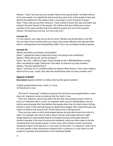Kintaro: "I don't see how you can consider Stalin to be a great leader. He killed millions of his own people, he crippled the Soviet economy, kept most of the people in fear and laid the foundations for the violence that is occurring in much of Eastern Europe." Dave: "Yeah, well you say that. However, I have a book at home that says that Stalin was acting in the best interest of the people. The millions that were killed were vicious enemies of the state and they had to be killed to protect the rest of the peaceful citizens. This book lays it all out, so it has to be true."

#### **Example #3:**

I'm not a doctor, but I play one on the hit series "Bimbos and Studmuffins in the OR." You can take it from me that when you need a fast acting, effective and safe pain killer there is nothing better than MorphiDope 2000. That is my considered medical opinion.

#### **Example #4:**

Siphwe and Sasha are having a conversation: Sasha: "I played the lottery today and I know I am going to win something." Siphwe: "What did you do, rig the outcome?" Sasha: "No, silly. I called my Super Psychic Buddy at the 1‐900‐MindPower number. After consulting his magic Californian Tarot deck, he told me my lucky numbers." Siphwe: "And you believed him?" Sasha: "Certainly, he is a certified Californian Master‐Mind Psychic. That is why I believe what he has to say. I mean, like, who else would know what my lucky numbers are?"

# **Appeal to Belief**

**Description:**Appeal to Belief is a fallacy that has this general pattern:

1) Most people believe that a claim, X, is true.

2) Therefore X is true.

This line of "reasoning" is fallacious because the fact that many people believe a claim does not, in general, serve as evidence that the claim is true.

There are, however, some cases when the fact that many people accept a claim as true is an indication that it is true. For example, while you are visiting Maine, you are told by several people that they believe that people older than 16 need to buy a fishing license in order to fish. Barring reasons to doubt these people, their statements give you reason to believe that anyone over 16 will need to buy a fishing license.

There are also cases in which what people believe actually determines the truth of a claim. For example, the truth of claims about manners and proper behavior might simply depend on what people believe to be good manners and proper behavior. Another example is the case of community standards, which are often taken to be the standards that most people accept. In some cases, what violates certain community standards is taken to be obscene. In such cases, for the claim "x is obscene" to be true is for most people in that community to believe that x is obscene. In such cases it is still prudent to question the justification of the individual beliefs.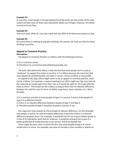At one time, most people in Europe believed that the earth was the center of the solar system (at least most of those who had beliefs about such things). However, this belief turned out to be false.

#### **Example #2:**

God must exist. After all, I just saw a poll that says 85% of all Americans believe in God.

#### **Example #3:**

Of course there is nothing wrong with drinking. Ask anyone, he'll tell you that he thinks drinking is just fine.

# **Appeal to Common Practice**

#### **Description:**

The Appeal to Common Practice is a fallacy with the following structure:

1) X is a common action.

2) Therefore X is correct/moral/justified/reasonable, etc.

The basic idea behind the fallacy is that the fact that most people do X is used as "evidence" to support the action or practice. It is a fallacy because the mere fact that most people do something does not make it correct, moral, justified, or reasonable.

An appeal to fair play, which might seem to be an appeal to common practice, need not be a fallacy. For example, a woman working in an office might say "the men who do the same job as me get paid more than I do, so it would be right for me to get paid the same as them." This would not be a fallacy as long as there was no relevant difference between her and the men (in terms of ability, experience, hours worked, etc.). More formally:

1) It is common practice to treat people of type Y in manner X and to treat people of type Z in a different manner.

2) There is no relevant difference between people of type Y and type Z.

3) Therefore people of type Z should be treated in manner X, too.

This argument rests heavily on the principle of relevant difference. On this principle two people, A and B, can only be treated differently if and only if there is a relevant difference between them. For example, it would be fine for me to give a better grade to A than B if A did better work than B. However, it would be wrong of me to give A a better grade than B simply because A has red hair and B has blonde hair.

There might be some cases in which the fact that most people accept X as moral entails that X is moral. For example, one view of morality is that morality is relative to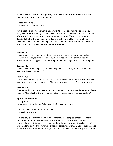the practices of a culture, time, person, etc. If what is moral is determined by what is commonly practiced, then this argument:

1) Most people do X.

2) Therefore X is morally correct.

would not be a fallacy. This would however entail some odd results. For example, imagine that there are only 100 people on earth. 60 of them do not steal or cheat and 40 do. At this time, stealing and cheating would be wrong. The next day, a natural disaster kills 30 of the 60 people who do not cheat or steal. Now it is morally correct to cheat and steal. Thus, it would be possible to change the moral order of the world to one's view simply by eliminating those who disagree.

# **Example #1:**

Director Jones is in charge of running a state waste management program. When it is found that the program is rife with corruption, Jones says "This program has its problems, but nothing goes on in this program that doesn't go on in all state programs."

#### **Example #2:**

"Yeah, I know some people say that cheating on tests is wrong. But we all know that everyone does it, so it's okay."

#### **Example #3:**

"Sure, some people buy into that equality crap. However, we know that everyone pays women less then men. It's okay, too. Since everyone does it, it can't really be wrong."

#### **Example #4:**

"There is nothing wrong with requiring multicultural classes, even at the expense of core subjects. After all, all of the universities and colleges are pushing multiculturalism."

# **Appeal to Emotion**

# **Description:**

An Appeal to Emotion is a fallacy with the following structure:

- 1) Favorable emotions are associated with X.
- 2) Therefore, X is true.

This fallacy is committed when someone manipulates peoples' emotions in order to get them to accept a claim as being true. More formally, this sort of "reasoning" involves the substitution of various means of producing strong emotions in place of evidence for a claim. If the favorable emotions associated with X influence the person to accept X as true because they "feel good about X," then he has fallen prey to the fallacy.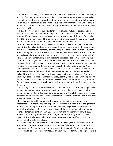This sort of "reasoning" is very common in politics and it serves as the basis for a large portion of modern advertising. Most political speeches are aimed at generating feelings in people so that these feelings will get them to vote or act a certain way. In the case of advertising, the commercials are aimed at evoking emotions that will influence people to buy certain products. In most cases, such speeches and commercials are notoriously free of real evidence.

This sort of "reasoning" is quite evidently fallacious. It is fallacious because using various tactics to incite emotions in people does not serve as evidence for a claim. For example, if a person were able to inspire in a person an incredible hatred of the claim that  $1+1 = 2$  and then inspired the person to love the claim that  $1+1 = 3$ , it would hardly follow that the claim that  $1+1 = 3$  would be adequately supported.

It should be noted that in many cases it is not particularly obvious that the person committing the fallacy is attempting to support a claim. In many cases, the user of the fallacy will appear to be attempting to move people to take an action, such as buying a product or fighting in a war. However, it is possible to determine what sort of claim the person is actually attempting to support. In such cases one needs to ask "what sort of claim is this person attempting to get people to accept and act on?" Determining this claim (or claims) might take some work. However, in many cases it will be quite evident. For example, if a political leader is attempting to convince her followers to participate in certain acts of violence by the use of a hate speech, then her claim would be "you should participate in these acts of violence." In this case, the "evidence" would be the hatred evoked in the followers. This hatred would serve to make them favorable inclined towards the claim that they should engage in the acts of violence. As another example, a beer commercial might show happy, scantily clad men and women prancing about a beach, guzzling beer. In this case the claim would be "you should buy this beer." The "evidence" would be the excitement evoked by seeing the beautiful people guzzling the beer.

This fallacy is actually an extremely effective persuasive device. As many people have argued, peoples' emotions often carry much more force than their reason. Logical argumentation is often difficult and time consuming and it rarely has the power to spurn people to action. It is the power of this fallacy that explains its great popularity and wide usage. However, it is still a fallacy.

In all fairness it must be noted that the use of tactics to inspire emotions is an important skill. Without an appeal to peoples' emotions, it is often difficult to get them to take action or to perform at their best. For example, no good coach presents her team with syllogisms before the big game. Instead she inspires them with emotional terms and attempts to "fire" them up. There is nothing inherently wrong with this. However, it is not any acceptable form of argumentation. As long as one is able to clearly distinguish between what inspires emotions and what justifies a claim, one is unlikely to fall prey to this fallacy.

As a final point, in many cases it will be difficult to distinguish an Appeal to Emotion from some other fallacies and in many cases multiple fallacies may be committed. For example, many Ad Hominems will be very similar to Appeals to Emotion and, in some cases, both fallacies will be committed. As an example, a leader might attempt to invoke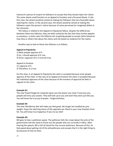hatred of a person to inspire his followers to accept that they should reject her claims. The same attack could function as an Appeal to Emotion and a Personal Attack. In the first case, the attack would be aimed at making the followers feel very favorable about rejecting her claims. In the second case, the attack would be aimed at making the followers reject the person's claims because of some perceived (or imagined) defect in her character.

This fallacy is related to the Appeal to Popularity fallacy. Despite the differences between these two fallacies, they are both united by the fact that they involve appeals to emotions. In both cases the fallacies aim at getting people to accept claims based on how they or others feel about the claims and not based on evidence for the claims.

Another way to look at these two fallacies is as follows

#### **Appeal to Popularity**

1) Most people approve of X. 2) So, I should approve of X, too. 3) Since I approve of X, X must be true.

Appeal to Emotion 1) I approve of X. 2) Therefore, X is true.

On this view, in an Appeal to Popularity the claim is accepted because most people approve of the claim. In the case of an Appeal to Emotion the claim is accepted because the individual approves of the claim because of the emotion of approval he feels in regards to the claim.

#### **Example #1:**

The new PowerTangerine computer gives you the power you need. If you buy one, people will envy your power. They will look up to you and wish they were just like you. You will know the true joy of power. TangerinePower.

#### **Example #2:**

The new UltraSkinny diet will make you feel great. No longer be troubled by your weight. Enjoy the admiring stares of the opposite sex. Revel in your new freedom from fat. You will know true happiness if you try our diet!

#### **Example #3:**

Bill goes to hear a politician speak. The politician tells the crowd about the evils of the government and the need to throw out the people who are currently in office. After hearing the speech, Bill is full of hatred for the current politicians. Because of this, he feels good about getting rid of the old politicians and accepts that it is the right thing to do because of how he feels.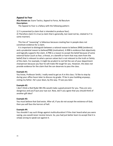# **Appeal to Fear**

**Also Known as:** Scare Tactics, Appeal to Force, Ad Baculum **Description:**

The Appeal to Fear is a fallacy with the following pattern:

1) Y is presented (a claim that is intended to produce fear).

2) Therefore claim X is true (a claim that is generally, but need not be, related to Y in some manner).

This line of "reasoning" is fallacious because creating fear in people does not constitute evidence for a claim.

It is important to distinguish between a rational reason to believe (RRB) (evidence) and a prudential reason to believe(PRB) (motivation). A RRB is evidence that objectively and logically supports the claim. A PRB is a reason to accept the belief because of some external factor (such as fear, a threat, or a benefit or harm that may stem from the belief) that is relevant to what a person values but is not relevant to the truth or falsity of the claim. For example, it might be prudent to not fail the son of your department chairperson because you fear he will make life tough for you. However, this does not provide evidence for the claim that the son deserves to pass the class.

# **Example #1:**

You know, Professor Smith, I really need to get an A in this class. I'd like to stop by during your office hours later to discuss my grade. I'll be in your building anyways, visting my father. He's your dean, by the way. I'll see you later.

# **Example #2:**

I don't think a Red Ryder BB rifle would make a good present for you. They are very dangerous and you'll put your eye out. Now, don't you agree that you should think of another gift idea?

#### **Example #3:**

You must believe that God exists. After all, if you do not accept the existence of God, then you will face the horrors of hell.

# **Example #4:**

You shouldn't say such things against multiculturalism! If the chair heard what you were saying, you would never receive tenure. So, you had just better learn to accept that it is simply wrong to speak out against it.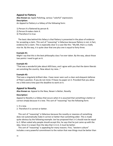# **Appeal to Flattery**

**Also Known as:** Apple Polishing, various "colorful" expressions **Description:** An Appeal to Flattery is a fallacy of the following form:

1) Person A is flattered by person B.

- 2) Person B makes claim X.
- 3) Therefore X is true.

The basic idea behind this fallacy is that flattery is presented in the place of evidence for accepting a claim. This sort of "reasoning" is fallacious because flattery is not, in fact, evidence for a claim. This is especially clear in a case like this: "My Bill, that is a really nice tie. By the way, it is quite clear that one plus one is equal to forty three.

# **Example #1:**

Might I say that this is the best philosophy class I've ever taken. By the way, about those two points I need to get an A.

#### **Example #2:**

"That was a wonderful joke about AIDS boss, and I agree with you that the damn liberals are wrecking the country. Now about my raise…"

# **Example #3:**

That was a singularly brilliant idea. I have never seen such a clear and eloquent defense of Plato's position. If you do not mind, I'll base my paper on it. Provided that you allow me a little extra time past the deadline to work on it.

# **Appeal to Novelty**

**Also Known as**: Appeal to the New, Newer is Better, Novelty

# **Description**:

Appeal to Novelty is a fallacy that occurs when it is assumed that something is better or correct simply because it is new. This sort of "reasoning" has the following form:

- 1. X is new.
- 2. Therefore X is correct or better.

This sort of "reasoning" is fallacious because the novelty or newness of something does not automatically make it correct or better than something older. This is made quite obvious by the following example: Joe has proposed that 1+1 should now be equal to 3. When asked why people should accept this, he says that he just came up with the idea. Since it is newer than the idea that 1+1=2, it must be better.

This sort of "reasoning" is appealing for many reasons. First, "western culture" includes a very powerful commitment to the notion that new things must be better than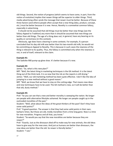old things. Second, the notion of progress (which seems to have come, in part, from the notion of evolution) implies that newer things will be superior to older things. Third, media advertising often sends the message that newer must be better. Because of these three factors (and others) people often accept that a new thing (idea, product, concept, etc.) must be better because it is new. Hence, Novelty is a somewhat common fallacy, especially in advertising.

It should not be assumed that old things must be better than new things (see the fallacy Appeal to Tradition) any more than it should be assumed that new things are better than old things. The age of a thing does not, in general, have any bearing on its quality or correctness (in this context).

Obviously, age does have a bearing in some contexts. For example, if a person concluded that his day old milk was better than his two‐month old milk, he would not be committing an Appeal to Novelty. This is because in such cases the newness of the thing is relevant to its quality. Thus, the fallacy is committed only when the newness is not, in and of itself, relevant to the claim.

# **Example #1:**

The Sadisike 900 pump‐up glow shoe. It's better because it's new.

# **Example #2:**

James: "So, what is this new plan?"

Biff: "Well, the latest thing in marketing techniques is the GK method. It is the latest thing out of the think tank. It is so new that the ink on the reports is still drying." James: "Well, our old marketing method has been quite effective. I don't like the idea of jumping to a new method without a good reason."

Biff: "Well, we know that we have to stay on the cutting edge. That means new ideas and new techniques have to be used. The GK method is new, so it will do better than that old, dusty method."

# **Example #3:**

Prof: "So you can see that a new and better morality is sweeping the nation. No longer are people with alternative lifestyles ashamed. No longer are people caught up in the outmoded moralities of the past."

Student: "Well, what about the ideas of the great thinkers of the past? Don't they have some valid points?"

Prof: "A good question. The answer is that they had some valid points in their own, barbaric times. But those are old, moldy moralities from a time long gone. Now is a time for new moralities. Progress and all that, you know."

Student: "So would you say that the new moralities are better because they are newer?"

Prof: "Exactly. Just as the dinosaurs died off to make way for new animals, the old ideas have to give way for the new ones. And just as humans are better than dinosaurs, the new ideas are better than the old. So newer is literally better." Student: "I see."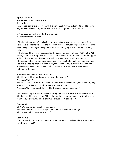# **Appeal to Pity**

**Also Known as:** Ad Misericordiam **Description:**

An Appeal to Pity is a fallacy in which a person substitutes a claim intended to create pity for evidence in an argument. The form of the "argument" is as follows:

1. P is presented, with the intent to create pity.

2. Therefore claim C is true.

This line of "reasoning" is fallacious because pity does not serve as evidence for a claim. This is extremely clear in the following case: "You must accept that 1+1=46, after all I'm dying…" While you may pity me because I am dying, it would hardly make my claim true.

This fallacy differs from the Appeal to the Consequences of a Belief (ACB). In the ACB fallacy, a person is using the effects of a belief as a substitute for evidence. In the Appeal to Pity, it is the feelings of pity or sympathy that are substituted for evidence.

It must be noted that there are cases in which claims that actually serve as evidence also evoke a feeling of pity. In such cases, the feeling of pity is still not evidence. The following is an example of a case in which a claim evokes pity and also serves as legitimate evidence:

Professor: "You missed the midterm, Bill." Bill: "I know. I think you should let me take the makeup." Professor: "Why?" Bill: "I was hit by a truck on the way to the midterm. Since I had to go to the emergency room with a broken leg, I think I am entitled to a makeup."

Professor: "I'm sorry about the leg, Bill. Of course you can make it up."

The above example does not involve a fallacy. While the professor does feel sorry for Bill, she is justified in accepting Bill's claim that he deserves a makeup. After all getting run over by a truck would be a legitimate excuse for missing a test.

# **Example #1:**

Jill: "He'd be a terrible coach for the team." Bill: "He had his heart set on the job, and it would break if he didn't get it." Jill: "I guess he'll do an adequate job."

# **Example #2:**

"I'm positive that my work will meet your requirements. I really need the job since my grandmother is sick"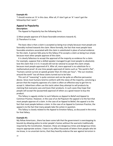"I should receive an 'A' in this class. After all, if I don't get an 'A' I won't get the fellowship that I want."

#### **Appeal to Popularity**

#### **Description:**

The Appeal to Popularity has the following form:

1) Most people approve of X (have favorable emotions towards X).

2) Therefore X is true.

The basic idea is that a claim is accepted as being true simply because most people are favorably inclined towards the claim. More formally, the fact that most people have favorable emotions associated with the claim is substituted in place of actual evidence for the claim. A person falls prey to this fallacy if he accepts a claim as being true simply because most other people approve of the claim.

It is clearly fallacious to accept the approval of the majority as evidence for a claim. For example, suppose that a skilled speaker managed to get most people to absolutely love the claim that 1+1=3. It would still not be rational to accept this claim simply because most people approved of it. After all, mere approval is no substitute for a mathematical proof. At one time people approved of claims such as "the world is flat", "humans cannot survive at speeds greater than 25 miles per hour", "the sun revolves around the earth" but all these claims turned out to be false.

This sort of "reasoning" is quite common and can be quite an effective persuasive device. Since most humans tend to conform with the views of the majority, convincing a person that the majority approves of a claim is often an effective way to get him to accept it. Advertisers often use this tactic when they attempt to sell products by claiming that everyone uses and loves their products. In such cases they hope that people will accept the (purported) approval of others as a good reason to buy the product.

This fallacy is vaguely similar to such fallacies as Appeal to Belief and Appeal to Common Practice. However, in the case of an Ad Populum the appeal is to the fact that most people approve of a claim. In the case of an Appeal to Belief, the appeal is to the fact that most people believe a claim. In the case of an Appeal to Common Practice, the appeal is to the fact that many people take the action in question.

This fallacy is closely related to the Appeal to Emotion fallacy, as discussed in the entry for that fallacy.

#### **Example #1:**

My fellow Americans…there has been some talk that the government is overstepping its bounds by allowing police to enter people's homes without the warrants traditionally required by the Constitution. However, these are dangerous times and dangerous times require appropriate actions. I have in my office thousands of letters from people who let me know, in no uncertain terms, that they heartily endorse the war against terrorism in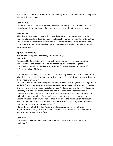these United States. Because of this overwhelming approval, it is evident that the police are doing the right thing.

#### **Example #2:**

I read the other day that most people really like the new gun control laws. I was sort of suspicious of them, but I guess if most people like them, then they must be okay.

#### **Example #3:**

Jill and Jane have some concerns that the rules their sorority has set are racist in character. Since Jill is a decent person, she brings her concerns up in the next meeting. The president of the sorority assures her that there is nothing wrong with the rules, since the majority of the sisters like them. Jane accepts this ruling but Jill decides to leave the sorority.

# **Appeal to Ridicule**

**Also Known as**: Appeal to Mockery, The Horse Laugh. **Description:**

The Appeal to Ridicule is a fallacy in which ridicule or mockery is substituted for evidence in an "argument." This line of "reasoning" has the following form:

1. X, which is some form of ridicule is presented (typically directed at the claim).

2. Therefore claim C is false.

This sort of "reasoning" is fallacious because mocking a claim does not show that it is false. This is especially clear in the following example: "1+1=2! That's the most ridiculous thing I have ever heard!"

It should be noted that showing that a claim is ridiculous through the use of legitimate methods (such as a non fallacious argument) can make it reasonable to reject the claim. One form of this line of reasoning is known as a "reductio ad absurdum" ("reducing to absurdity"). In this sort of argument, the idea is to show that a contradiction (a statement that must be false) or an absurd result follows from a claim. For example: "Bill claims that a member of a minority group cannot be a racist. However, this is absurd. Think about this: white males are a minority in the world. Given Bill's claim, it would follow that no white males could be racists. Hence, the Klan, Nazis, and white supremacists are not racist organizations."

Since the claim that the Klan, Nazis, and white supremacists are not racist organizations is clearly absurd, it can be concluded that the claim that a member of a minority cannot be a racist is false.

#### **Example#1:**

"Sure my worthy opponent claims that we should lower tuition, but that is just laughable."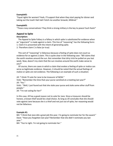# **Example#2:**

"Equal rights for women? Yeah, I'll support that when they start paying for dinner and taking out the trash! Hah hah! Fetch me another brewski, Mildred."

# **Example#3:**

"Those crazy conservatives! They think a strong military is the key to peace! Such fools!"

# **Appeal to Spite**

# **Description:**

The Appeal to Spite Fallacy is a fallacy in which spite is substituted for evidence when an "argument" is made against a claim. This line of "reasoning" has the following form: 1. Claim X is presented with the intent of generating spite.

2. Therefore claim C is false (or true)

This sort of "reasoning" is fallacious because a feeling of spite does not count as evidence for or against a claim. This is quite clear in the following case: "Bill claims that the earth revolves around the sun. But remember that dirty trick he pulled on you last week. Now, doesn't my claim that the sun revolves around the earth make sense to you?"

Of course, there are cases in which a claim that evokes a feeling of spite or malice can serve as legitimate evidence. However, it should be noted that the actual feelings of malice or spite are not evidence. The following is an example of such a situation:

Jill: "I think I'll vote for Jane to be treasurer of NOW."

Vicki: "Remember the time that your purse vanished at a meeting last year?" Jill: "Yes."

Vicki: "Well, I just found out that she stole your purse and stole some other stuff from people."

Jill: "I'm not voting for her!"

In this case, Jill has a good reason not to vote for Jane. Since a treasurer should be honest, a known thief would be a bad choice. As long as Jill concludes that she should vote against Jane because she is a thief and not just out of spite, her reasoning would not be fallacious.

# **Example #1:**

Bill: "I think that Jane did a great job this year. I'm going to nominate her for the award." Dave: "Have you forgotten last year? Remember that she didn't nominate you last year."

Bill: "You're right. I'm not going to nominate her."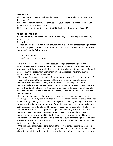Jill: "I think Jane's idea is a really good one and will really save a lot of money for the department."

Bill: "Maybe. Remember how she showed that your paper had a fatal flaw when you read it at the convention last year…"

Jill: "I had just about forgotten about that! I think I'll go with your idea instead."

#### **Appeal to Tradition**

**Also Known as:** Appeal to the Old, Old Ways are Best, Fallacious Appeal to the Past, Appeal to Age

#### **Description:**

Appeal to Tradition is a fallacy that occurs when it is assumed that something is better or correct simply because it is older, traditional, or "always has been done." This sort of "reasoning" has the following form:

1. X is old or traditional

2. Therefore X is correct or better.

This sort of "reasoning" is fallacious because the age of something does not automatically make it correct or better than something newer. This is made quite obvious by the following example: The theory that witches and demons cause disease is far older than the theory that microorganism cause diseases. Therefore, the theory about witches and demons must be true.

This sort of "reasoning" is appealing for a variety of reasons. First, people often prefer to stick with what is older or traditional. This is a fairly common psychological characteristic of people which may stem from the fact that people feel more comfortable about what has been around longer. Second, sticking with things that are older or traditional is often easier than testing new things. Hence, people often prefer older and traditional things out of laziness. Hence, Appeal to Tradition is a somewhat common fallacy.

It should not be assumed that new things must be better than old things (see the fallacy Appeal to Novelty) any more than it should be assumed that old things are better than new things. The age of thing does not, in general, have any bearing on its quality or correctness (in this context). In the case of tradition, assuming that something is correct just because it is considered a tradition is poor reasoning. For example, if the belief that 1+1 = 56 were a tradition of a group of people it would hardly follow that it is true.

Obviously, age does have a bearing in some contexts. For example, if a person concluded that aged wine would be better than brand new wine, he would not be committing an Appeal to Tradition. This is because, in such cases the age of the thing is relevant to its quality. Thus, the fallacy is committed only when the age is not, in and of itself, relevant to the claim.

One final issue that must be considered is the "test of time." In some cases people might be assuming that because something has lasted as a tradition or has been around a long time that it is true because it has "passed the test of time." If a person assumes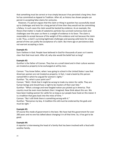that something must be correct or true simply because it has persisted a long time, then he has committed an Appeal to Tradition. After all, as history has shown people can persist in accepting false claims for centuries.

However, if a person argues that the claim or thing in question has successfully stood up to challenges and tests for a long period of time then they would not be committing a fallacy. In such cases the claim would be backed by evidence. As an example, the theory that matter is made of subatomic particles has survived numerous tests and challenges over the years so there is a weight of evidence in its favor. The claim is reasonable to accept because of the weight of this evidence and not because the claim is old. Thus, a claim's surviving legitimate challenges and passing valid tests for a long period of time can justify the acceptance of a claim. But mere age or persistence does not warrant accepting a claim.

#### **Example #1:**

Sure I believe in God. People have believed in God for thousands of years so it seems clear that God must exist. After all, why else would the belief last so long?

#### **Example #2:**

Gunthar is the father of Connan. They live on a small island and in their culture women are treated as property to be exchanged at will by men.

Connan: "You know father, when I was going to school in the United States I saw that American women are not treated as property. In fact, I read a book by this person named Mill in which he argued for women's rights."

Gunthar: "So, what is your point son?"

Connan: "Well, I think that it might be wrong to trade my sisters for cattle. They are human beings and should have a right to be masters of their own fate."

Gunthar: "What a strange and new‐fangled notion you picked up in America. That country must be even more barbaric then I imagined. Now think about this son. We have been trading women for cattle for as long as our people have lived on this island. It is a tradition that goes back into the mists of time. "

Connan: "But I still think there is something wrong with it."

Gunthar: "Nonsense my boy. A tradition this old must be endorsed by the gods and must be right. "

#### **Example #3:**

Of course this mode of government is the best. We have had this government for over 200 years and no one has talked about changing it in all that time. So, it has got to be good.

#### **Example #4:**

A reporter is interviewing the head of a family that has been involved with a feud with another family.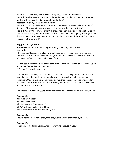Reporter: "Mr. Hatfield, why are you still fighting it out with the McCoys?" Hatfield: "Well you see young man, my father feuded with the McCoys and his father feuded with them and so did my great grandfather."

Reporter: "But why? What started all this?"

Hatfield: "I don't rightly know. I'm sure it was the McCoys who started it all, though." Reporter: "If you don't know why you're fighting, why don't you just stop?" Hatfield: "Stop? What are you crazy? This feud has been going on for generations so I'm sure there is a darn good reason why it started. So I aim to keep it going. It has got to be the right thing to do. Hand me my shooting iron boy, I see one of those McCoy skunks sneaking in the cornfield."

# **Begging the Question**

**Also Known as:** Circular Reasoning, Reasoning in a Circle, Petitio Principii **Description:**

Begging the Question is a fallacy in which the premises include the claim that the conclusion is true or (directly or indirectly) assume that the conclusion is true. This sort of "reasoning" typically has the following form.

1. Premises in which the truth of the conclusion is claimed or the truth of the conclusion is assumed (either directly or indirectly).

2. Claim C (the conclusion) is true.

This sort of "reasoning" is fallacious because simply assuming that the conclusion is true (directly or indirectly) in the premises does not constitute evidence for that conclusion. Obviously, simply assuming a claim is true does not serve as evidence for that claim. This is especially clear in particularly blatant cases: "X is true. The evidence for this claim is that X is true."

Some cases of question begging are fairly blatant, while others can be extremely subtle.

# **Example #1:**

Bill: "God must exist." Jill: "How do you know." Bill: "Because the Bible says so." Jill: "Why should I believe the Bible?" Bill: "Because the Bible was written by God."

# **Example #2:**

"If such actions were not illegal , then they would not be prohibited by the law."

# **Example #3:**

"The belief in God is universal. After all, everyone believes in God."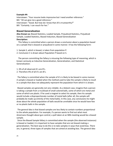Interviewer: "Your resume looks impressive but I need another reference." Bill: "Jill can give me a good reference." Interviewer: "Good. But how do I know that Jill is trustworthy?" Bill: "Certainly. I can vouch for her."

# **Biased Generalization**

**Also Known as:** Biased Statistics, Loaded Sample, Prejudiced Statistics, Prejudiced Sample, Loaded Statistics, Biased Induction, Biased Generalization **Description:**

This fallacy is committed when a person draws a conclusion about a population based on a sample that is biased or prejudiced in some manner. It has the following form:

- 1. Sample S, which is biased, is taken from population P.
- 2. Conclusion C is drawn about Population P based on S.

The person committing the fallacy is misusing the following type of reasoning, which is known variously as Inductive Generalization, Generalization, and Statistical Generalization:

- 1. X% of all observed A's are B's.
- 2. Therefore X% of all A's are B's.

The fallacy is committed when the sample of A's is likely to be biased in some manner. A sample is biased or loaded when the method used to take the sample is likely to result in a sample that does not adequately represent the population from which it is drawn.

Biased samples are generally not very reliable. As a blatant case, imagine that a person is taking a sample from a truckload of small colored balls, some of which are metal and some of which are plastic. If he used a magnet to select his sample, then his sample would include a disproportionate number of metal balls (after all, the sample will probably be made up entirely of the metal balls). In this case, any conclusions he might draw about the whole population of balls would be unreliable since he would have few or no plastic balls in the sample.

The general idea is that biased samples are less likely to contain numbers proportional to the whole population. For example, if a person wants to find out what most Americans thought about gun control, a poll taken at an NRA meeting would be a biased sample.

Since the Biased Sample fallacy is committed when the sample (the observed instances) is biased or loaded, it is important to have samples that are not biased making a generalization. The best way to do this is to take samples in ways that avoid bias. There are, in general, three types of samples that are aimed at avoiding bias. The general idea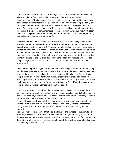is that these methods (when used properly) will result in a sample that matches the whole population fairly closely. The three types of samples are as follows Random Sample: This is a sample that is taken in such a way that nothing but chance determines which members of the population are selected for the sample. Ideally, any individual member of the population has the same chance as being selected as any other. This type of sample avoids being biased because a biased sample is one that is taken in such a way that some members of the population have a significantly greater chance of being selected for the sample than other members. Unfortunately, creating an ideal random sample is often very difficult.

**Stratified Sample:** This is a sample that is taken by using the following steps: 1) The relevant strata (population subgroups) are identified, 2) The number of members in each stratum is determined and 3) A random sample is taken from each stratum in exact proportion to its size. This method is obviously most useful when dealing with stratified populations. For example, a person's income often influences how she votes, so when conducting a presidential poll it would be a good idea to take a stratified sample using economic classes as the basis for determining the strata. This method avoids loaded samples by (ideally) ensuring that each stratum of the population is adequately represented.

**Time Lapse Sample:** This type of sample is taken by taking a stratified or random sample and then taking at least one more sample with a significant lapse of time between them. After the two samples are taken, they can be compared for changes. This method of sample taking is very important when making predictions. A prediction based on only one sample is likely to be a Hasty Generalization (because the sample is likely to be too small to cover past, present and future populations) or a Biased Sample (because the sample will only include instances from one time period).

People often commit Biased Sample because of bias or prejudice. For example, a person might intentionally or unintentionally seek out people or events that support his bias. As an example, a person who is pushing a particular scientific theory might tend to gather samples that are biased in favor of that theory.

People also commonly commit this fallacy because of laziness or sloppiness. It is very easy to simply take a sample from what happens to be easily available rather than taking the time and effort to generate an adequate sample and draw a justified conclusion.

It is important to keep in mind that bias is relative to the purpose of the sample. For example, if Bill wanted to know what NRA members thought about a gun control law, then taking a sample at a NRA meeting would not be biased. However, if Bill wanted to determine what Americans in general thought about the law, then a sample taken at an NRA meeting would be biased.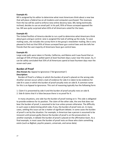Bill is assigned by his editor to determine what most Americans think about a new law that will place a federal tax on all modems and computers purchased. The revenues from the tax will be used to enforce new online decency laws. Bill, being technically inclined, decides to use an email poll. In his poll, 95% of those surveyed opposed the tax. Bill was quite surprised when 65% of all Americans voted for the taxes.

# **Example #2:**

The United Pacifists of America decide to run a poll to determine what Americans think about guns and gun control. Jane is assigned the task of setting up the study. To save mailing costs, she includes the survey form in the group's newsletter mailing. She is very pleased to find out that 95% of those surveyed favor gun control laws and she tells her friends that the vast majority of Americans favor gun control laws.

# **Example #3:**

Large scale polls were taken in Florida, California, and Maine and it was found that an average of 55% of those polled spent at least fourteen days a year near the ocean. So, it can be safely concluded that 55% of all Americans spend at least fourteen days near the ocean each year.

# **Burden of Proof**

# **Also Known As:** Appeal to Ignorance ("Ad Ignorantiam') **Description:**

Burden of Proof is a fallacy in which the burden of proof is placed on the wrong side. Another version occurs when a lack of evidence for side A is taken to be evidence for side B in cases in which the burden of proof actually rests on side B. A common name for this is an Appeal to Ignorance. This sort of reasoning typically has the following form:

1. Claim X is presented by side A and the burden of proof actually rests on side B.

2. Side B claims that X is false because there is no proof for X.

In many situations, one side has the burden of proof resting on it. This side is obligated to provide evidence for its position. The claim of the other side, the one that does not bear the burden of proof, is assumed to be true unless proven otherwise. The difficulty in such cases is determining which side, if any, the burden of proof rests on. In many cases, settling this issue can be a matter of significant debate. In some cases the burden of proof is set by the situation. For example, in American law a person is assumed to be innocent until proven guilty (hence the burden of proof is on the prosecution). As another example, in debate the burden of proof is placed on the affirmative team. As a final example, in most cases the burden of proof rests on those who claim something exists (such as Bigfoot, psychic powers, universals, and sense data).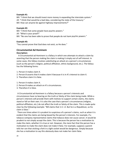Bill: "I think that we should invest more money in expanding the interstate system." Jill: "I think that would be a bad idea, considering the state of the treasury." Bill: How can anyone be against highway improvements?"

#### **Example #2:**

Bill: "I think that some people have psychic powers."

Jill: "What is your proof?"

Bill: "No one has been able to prove that people do not have psychic powers."

#### **Example #3:**

"You cannot prove that God does not exist, so He does."

# **Circumstantial Ad Hominem**

#### **Description:**

A Circumstantial ad Hominem is a fallacy in which one attempts to attack a claim by asserting that the person making the claim is making it simply out of self interest. In some cases, this fallacy involves substituting an attack on a person's circumstances (such as the person's religion, political affiliation, ethnic background, etc.). The fallacy has the following forms:

- 1. Person A makes claim X.
- 2. Person B asserts that A makes claim X because it is in A's interest to claim X.
- 3. Therefore claim X is false.
- 1. Person A makes claim X.
- 2. Person B makes an attack on A's circumstances.
- 3. Therefore X is false.

A Circumstantial ad Hominem is a fallacy because a person's interests and circumstances have no bearing on the truth or falsity of the claim being made. While a person's interests will provide them with motives to support certain claims, the claims stand or fall on their own. It is also the case that a person's circumstances (religion, political affiliation, etc.) do not affect the truth or falsity of the claim. This is made quite clear by the following example: "Bill claims that 1+1 =2. But he is a Republican, so his claim is false."

There are times when it is prudent to suspicious of a person's claims, such as when it is evident that the claims are being biased by the person's interests. For example, if a tobacco company representative claims that tobacco does not cause cancer, it would be prudent to not simply accept the claim. This is because the person has a motivation to make the claim, whether it is true or not. However, the mere fact that the person has a motivation to make the claim does not make it false. For example, suppose a parent tells her son that sticking a fork in a light socket would be dangerous. Simply because she has a motivation to say this obviously does not make her claim false.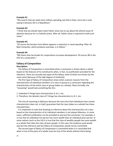"She asserts that we need more military spending, but that is false, since she is only saying it because she is a Republican."

#### **Example #2:**

"I think that we should reject what Father Jones has to say about the ethical issues of abortion because he is a Catholic priest. After all, Father Jones is required to hold such views."

#### **Example #3:**

"Of course the Senator from Maine opposes a reduction in naval spending. After all, Bath Ironworks, which produces warships, is in Maine."

#### **Example #4:**

"Bill claims that tax breaks for corporations increases development. Of course, Bill is the CEO of a corporation."

# **Fallacy of Composition**

#### **Description:**

The fallacy of Composition is committed when a conclusion is drawn about a whole based on the features of its constituents when, in fact, no justification provided for the inference. There are actually two types of this fallacy, both of which are known by the same name (because of the high degree of similarity).

The first type of fallacy of Composition arises when a person reasons from the characteristics of individual members of a class or group to a conclusion regarding the characteristics of the entire class or group (taken as a whole). More formally, the "reasoning" would look something like this.

1. Individual F things have characteristics A, B, C, etc.

2. Therefore, the (whole) class of F things has characteristics A, B, C, etc.

This line of reasoning is fallacious because the mere fact that individuals have certain characteristics does not, in itself, guarantee that the class (taken as a whole) has those characteristics.

It is important to note that drawing an inference about the characteristics of a class based on the characteristics of its individual members is not always fallacious. In some cases, sufficient justification can be provided to warrant the conclusion. For example, it is true that an individual rich person has more wealth than an individual poor person. In some nations (such as the US) it is true that the class of wealthy people has more wealth as a whole than does the class of poor people. In this case, the evidence used would warrant the inference and the fallacy of Composition would not be committed.

The second type of fallacy of Composition is committed when it is concluded that what is true of the parts of a whole must be true of the whole without there being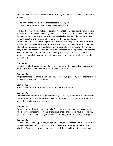adequate justification for the claim. More formally, the line of "reasoning" would be as follows:

- 1. The parts of the whole X have characteristics A, B, C, etc.
- 2. Therefore the whole X must have characteristics A, B, C.

This sort of reasoning is fallacious because it cannot be inferred that simply because the parts of a complex whole have (or lack) certain properties that the whole that they are parts of has those properties. This is especially clear in math: The numbers 1 and 3 are both odd. 1 and 3 are parts of 4. Therefore, the number 4 is odd.

It must be noted that reasoning from the properties of the parts to the properties of the whole is not always fallacious. If there is justification for the inference from parts to whole, then the reasoning is not fallacious. For example, if every part of the human body is made of matter, then it would not be an error in reasoning to conclude that the whole human body is made of matter. Similarly, if every part of a structure is made of brick, there is no fallacy committed when one concludes that the whole structure is made of brick.

# **Example #1:**

A main battle tank uses more fuel than a car. Therefore, the main battle tanks use up more of the available fuel in the world than do all the cars.

# **Example #2:**

A tiger eats more food than a human being. Therefore, tigers, as a group, eat more food than do all the humans on the earth.

# **Example #3:**

Atoms are colorless. Cats are made of atoms, so cats are colorless.

# **Example #4:**

Every player on the team is a superstar and a great player, so the team is a great team." This is fallacious since the superstars might not be able to play together very well and hence they could be a lousy team.

# **Example #5:**

Each part of the show, from the special effects to the acting is a masterpiece. So, the whole show is a masterpiece." This is fallacious since a show could have great acting, great special effects and such, yet still fail to "come together" to make a masterpiece.

# **Example #6:**

Come on, you like beef, potatoes, and green beans, so you will like this beef, potato, and green been casserole." This is fallacious for the same reason that the following is fallacious: "You like eggs, ice cream, pizza, cake, fish, jello, chicken, taco sauce, soda,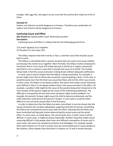oranges, milk, egg rolls, and yogurt so you must like this yummy dish made out of all of them.

#### **Example #7:**

Sodium and chlorine are both dangerous to humans. Therefore any combination of sodium and chlorine will be dangerous to humans.

# **Confusing Cause and Effect**

**Also Known as:** Questionable Cause, Reversing Causation **Description:**

Confusing Cause and Effect is a fallacy that has the following general form:

1) A and B regularly occur together.

2) Therefore A is the cause of B.

This fallacy requires that there not be, in fact, a common cause that actually causes both A and B.

This fallacy is committed when a person assumes that one event must cause another just because the events occur together. More formally, this fallacy involves drawing the conclusion that A is the cause of B simply because A and B are in regular conjunction (and there is not a common cause that is actually the cause of A and B). The mistake being made is that the causal conclusion is being drawn without adequate justification.

In some cases it will be evident that the fallacy is being committed. For example, a person might claim that an illness was caused by a person getting a fever. In this case, it would be quite clear that the fever was caused by illness and not the other way around. In other cases, the fallacy is not always evident. One factor that makes causal reasoning quite difficult is that it is not always evident what is the cause and what is the effect. For example, a problem child might be the cause of the parents being short tempered or the short temper of the parents might be the cause of the child being problematic. The difficulty is increased by the fact that some situations might involve feedback. For example, the parents' temper might cause the child to become problematic and the child's behavior could worsen the parents' temper. In such cases it could be rather difficult to sort out what caused what in the first place.

In order to determine that the fallacy has been committed, it must be shown that the causal conclusion has not been adequately supported and that the person committing the fallacy has confused the actual cause with the effect. Showing that the fallacy has been committed will typically involve determining the actual cause and the actual effect. In some cases, as noted above, this can be quite easy. In other cases it will be difficult. In some cases, it might be almost impossible. Another thing that makes causal reasoning difficult is that people often have very different conceptions of cause and, in some cases, the issues are clouded by emotions and ideologies. For example, people often claim violence on TV and in movies must be censored because it causes people to like violence. Other people claim that there is violence on TV and in movies because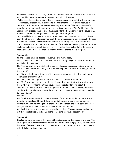people like violence. In this case, it is not obvious what the cause really is and the issue is clouded by the fact that emotions often run high on this issue.

While causal reasoning can be difficult, many errors can be avoided with due care and careful testing procedures. This is due to the fact that the fallacy arises because the conclusion is drawn without due care. One way to avoid the fallacy is to pay careful attention to the temporal sequence of events. Since (outside of Star Trek), effects do not generally precede their causes, if A occurs after B, then A cannot be the cause of B. However, these methods go beyond the scope of this program.

All causal fallacies involve an error in causal reasoning. However, this fallacy differs from the other causal fallacies in terms of the error in reasoning being made. In the case of a Post Hoc fallacy, the error is that a person is accepting that A is the cause of B simply because A occurs before B. In the case of the Fallacy of Ignoring a Common Cause A is taken to be the cause of B when there is, in fact, a third factor that is the cause of both A and B. For more information, see the relevant entries in this program.

#### **Example #1:**

Bill and Joe are having a debate about music and moral decay:

Bill: "It seems clear to me that this new music is causing the youth to become corrupt." Joe: 'What do you mean?"

Bill: "This rap stuff is always telling the kids to kill cops, do drugs, and abuse women. That is all bad and the kids today shouldn't be doing that sort of stuff. We ought to ban that music!"

Joe: "So, you think that getting rid of the rap music would solve the drug, violence and sexism problems in the US?"

Bill: "Well, it wouldn't get rid of it all, but it would take care of a lot of it."

Joe: "Don't you think that most of the rap singers sing about that sort of stuff because that is what is really going on these days? I mean, people often sing about the conditions of their time, just like the people did in the sixties. But then I suppose that you think that people were against the war and into drugs just because they listened to Dylan and Baez."

Bill: "Well…"

Joe: "Well, it seems to me that the main cause of the content of the rap music is the pre‐existing social conditions. If there weren't all these problems, the rap singers probably wouldn't be singing about them. I also think that if the social conditions were great, kids could listen to the music all day and not be affected."

Joe: 'Well, I still think the rap music causes the problems. You can't argue against the fact that social ills really picked up at the same time rap music got started."

#### **Example #2:**

It is claimed by some people that severe illness is caused by depression and anger. After all, people who are severely ill are very often depressed and angry. Thus, it follows that the cause of severe illness actually is the depression and anger. So, a good and cheerful attitude is key to staying healthy.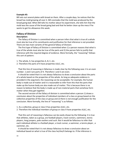Bill sets out several plates with bread on them. After a couple days, he notices that the bread has mold growing all over it. Bill concludes that the mold was produced by the bread going bad. When Bill tells his mother about his experiment, she tells him that the mold was the cause of the bread going bad and that he better clean up the mess if he wants to get his allowance this week.

# **Fallacy of Division**

#### **Description:**

The fallacy of Division is committed when a person infers that what is true of a whole must also be true of its constituents and justification for that inference is not provided. There are two main variants of the general fallacy of Division:

The first type of fallacy of Division is committed when 1) a person reasons that what is true of the whole must also be true of the parts and 2) the person fails to justify that inference with the required degree of evidence. More formally, the "reasoning" follows this sort of pattern:

1. The whole, X, has properties A, B, C, etc.

2. Therefore the parts of X have properties A,B,C, etc.

That this line of reasoning is fallacious is made clear by the following case: 4 is an even number. 1 and 3 are parts of 4. Therefore 1 and 3 are even.

It should be noted that it is not always fallacious to draw a conclusion about the parts of a whole based on the properties of the whole. As long as adequate evidence is provided in the argument, the reasoning can be acceptable. For example, the human body is made out of matter and it is reasonable to infer from this that the parts that make up the human body are also made out of matter. This is because there is no reason to believe that the body is made up of non‐material parts that somehow form matter when they get together.

The second version of the fallacy of division is committed when a person 1) draws a conclusion about the properties of individual members of a class or group based on the collective properties of the class or group and 2) there is not enough justification for the conclusion. More formally, the line of "reasoning" is as follows:

- 1. As a collective, group or class X has properties A,B,C, etc.
- 2. Therefore the individual members of group or class X have properties A,B,C, etc.

That this sort of reasoning is fallacious can be easily shown by the following: It is true that athletes, taken as a group, are football players, track runners, swimmers, tennis players, long jumpers, pole vaulters and such. But it would be fallacious to infer that each individual athlete is a football player, a track runner, a swimmer, a tennis player , a swimmer, etc.

It should be noted that it is not always fallacious to draw a conclusion about an individual based on what is true of the class he/she/it belongs to. If the inference is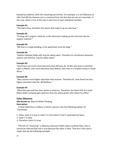backed by evidence, then the reasoning can be fine. For example, it is not fallacious to infer that Bill the Siamese cat is a mammal from the fact that all cats are mammals. In this case, what is true of the class is also true of each individual member.

#### **Example #1:**

"The ball is blue, therefore the atoms that make it up are also blue."

#### **Example #2:**

"A living cell is organic material, so the chemicals making up the cell must also be organic material."

#### **Example #3:**

"Bill lives in a large building, so his apartment must be large."

#### **Example #4:**

"Sodium chloride (table salt) may be safely eaten. Therefore its constituent elements, sodium and chlorine, may be safely eaten."

#### **Example #5:**

"Americans use much more electricity than Africans do. So Bill, who lives in primitive cabin in Maine, uses more electricity than Nelson, who lives in a modern house in South Africa. "

#### **Example #6:**

"Men receive more higher education than women. Therefore Dr. Jane Smart has less higher education than Mr. Bill Buffoon. "

#### **Example #7:**

"Minorities get paid less than whites in America. Therefore, the black CEO of a multi‐ billion dollar company gets paid less than the white janitor who cleans his office."

# **False Dilemma**

# **Also Known as**: Black & White Thinking **Description:**

A False Dilemma is a fallacy in which a person uses the following pattern of "reasoning":

- 1. Either claim X is true or claim Y is true (when X and Y could both be false).
- 2. Claim Y is false.
- 3. Therefore claim X is true.

This line of "reasoning" is fallacious because if both claims could be false, then it cannot be inferred that one is true because the other is false. That this is the case is made clear by the following example: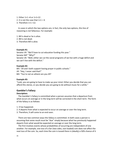1. Either 1+1 =4 or 1+1=12 . 2. It is not the case that  $1+1 = 4$ . 3. Therefore 1+1 =12.

In cases in which the two options are, in fact, the only two options, this line of reasoning is not fallacious. For example:

1. Bill is dead or he is alive.

2. Bill is not dead.

3. Therefore Bill is alive.

#### **Example #1:**

Senator Jill: "We'll have to cut education funding this year." Senator Bill" "Why?" Senator Jill: "Well, either we cut the social programs of we live with a huge deficit and we can't live with the deficit."

#### **Example #2:**

Bill: "Jill and I both support having prayer in public schools." Jill: "Hey, I never said that!" Bill: "You're not an atheist are you Jill?

#### **Example #3:**

"Look, you are going to have to make up your mind. Either you decide that you can afford this stereo, or you decide you are going to do without music for a while."

# **Gambler's Fallacy**

# **Description:**

The Gambler's Fallacy is committed when a person assumes that a departure from what occurs on average or in the long term will be corrected in the short term. The form of the fallacy is as follows:

- 1. X has happened.
- 2. X departs from what is expected to occur on average or over the long term.
- 3. Therefore, X will come to an end soon.

There are two common ways this fallacy is committed. In both cases a person is assuming that some result must be "due" simply because what has previously happened departs from what would be expected on average or over the long term.

The first involves events whose probabilities of occurring are independent of one another. For example, one toss of a fair (two sides, non‐loaded) coin does not affect the next toss of the coin. So, each time the coin is tossed there is (ideally) a 50% chance of it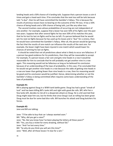landing heads and a 50% chance of it landing tails. Suppose that a person tosses a coin 6 times and gets a head each time. If he concludes that the next toss will be tails because tails "is due", then he will have committed the Gambler's Fallacy. This is because the results of previous tosses have no bearing on the outcome of the 7th toss. It has a 50% chance of being heads and a 50% chance of being tails, just like any other toss.

The second involves cases whose probabilities of occurring are not independent of one another. For example, suppose that a boxer has won 50% of his fights over the past two years. Suppose that after several fights he has won 50% of his matches this year, that he his lost his last six fights and he has six left. If a person believed that he would win his next six fights because he has used up his losses and is "due" for a victory, then he would have committed the Gambler's Fallacy. After all, the person would be ignoring the fact that the results of one match can influence the results of the next one. For example, the boxer might have been injured in one match which would lower his chances of winning his last six fights.

It should be noted that not all predictions about what is likely to occur are fallacious. If a person has good evidence for his predictions, then they will be reasonable to accept. For example, if a person tosses a fair coin and gets nine heads in a row it would be reasonable for him to conclude that he will probably not get another nine in a row again. This reasoning would not be fallacious as long as he believed his conclusion because of an understanding of the laws of probability. In this case, if he concluded that he would not get another nine heads in a row because the odds of getting nine heads in a row are lower than getting fewer than nine heads in a row, then his reasoning would be good and his conclusion would be justified. Hence, determining whether or not the Gambler's Fallacy is being committed often requires some basic understanding of the laws of probability.

#### **Example #1:**

Bill is playing against Doug in a WWII tank battle game. Doug has had a great "streak of luck" and has been killing Bill's tanks left and right with good die rolls. Bill, who has a few tanks left, decides to risk all in a desperate attack on Doug. He is a bit worried that Doug might wipe him out, but he thinks that since Doug's luck at rolling has been great Doug must be due for some bad dice rolls. Bill launches his attack and Doug butchers his forces.

#### **Example #2:**

Jane and Bill are talking:

Jane: "I'll be able to buy that car I always wanted soon." Bill: "Why, did you get a raise?" Jane: "No. But you know how I've been playing the lottery all these years?" Bill: "Yes, you buy a ticket for every drawing, without fail." Jane: "And I've lost every time." Bill: "So why do you think you will win this time?" Jane: "Well, after all those losses I'm due for a win."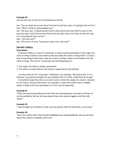Joe and Sam are at the race track betting on horses.

Joe: "You see that horse over there? He lost his last four races. I'm going to bet on him." Sam: 'Why? I think he will probably lose."

Joe: "No way, Sam. I looked up the horse's stats and he has won half his races in the past two years. Since he has lost three of his last four races, he'll have to win this race. So I'm betting the farm on him."

Sam: "Are you sure?"

Joe: "Of course I'm sure. That pony is due, man…he's due!"

# **Genetic Fallacy**

# **Description:**

A Genetic Fallacy is a line of "reasoning" in which a perceived defect in the origin of a claim or thing is taken to be evidence that discredits the claim or thing itself. It is also a line of reasoning in which the origin of a claim or thing is taken to be evidence for the claim or thing. This sort of "reasoning" has the following form:

1. The origin of a claim or thing is presented.

2. The claim is true(or false) or the thing is supported (or discredited).

It is clear that sort of "reasoning" is fallacious. For example: "Bill claims that 1+1=2. However, my parents brought me up to believe that 1+1=254, so Bill must be wrong."

It should be noted that there are some cases in which the origin of a claim is relevant to the truth or falsity of the claim. For example, a claim that comes from a reliable expert is likely to be true (provided it is in her area of expertise).

# **Example #1:**

"Yeah, the environmentalists do claim that over‐development can lead to all kinds of serious problems. But we all know about those darn bunny huggers and their silly views!."

# **Example #2:**

"I was brought up to believe in God, and my parents told me God exists, so He must."

# **Example #3:**

"Sure, the media claims that Senator Bedfellow was taking kickbacks. But we all know about the media's credibility, don't we."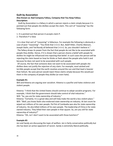# **Guilt by Association**

# **Also Known as: Bad Company Fallacy, Company that You Keep Fallacy Description:**

Guilt by Association is a fallacy in which a person rejects a claim simply because it is pointed out that people she dislikes accept the claim. This sort of "reasoning" has the following form:

1. It is pointed out that person A accepts claim P.

2. Therefore P is false

It is clear that sort of "reasoning" is fallacious. For example the following is obviously a case of poor "reasoning": "You think that 1+1=2. But, Adolf Hitler, Charles Manson, Joseph Stalin, and Ted Bundy all believed that 1+1=2. So, you shouldn't believe it."

The fallacy draws its power from the fact that people do not like to be associated with people they dislike. Hence, if it is shown that a person shares a belief with people he dislikes he might be influenced into rejecting that belief. In such cases the person will be rejecting the claim based on how he thinks or feels about the people who hold it and because he does not want to be associated with such people.

Of course, the fact that someone does not want to be associated with people she dislikes does not justify the rejection of any claim. For example, most wicked and terrible people accept that the earth revolves around the sun and that lead is heavier than helium. No sane person would reject these claims simply because this would put them in the company of people they dislike (or even hate).

# **Example #1:**

Will and Kiteena are arguing over socialism. Kiteena is a pacifist and hates violence and violent people.

Kiteena: "I think that the United States should continue to adopt socialist programs. For example, I think that the government should take control of vital industries." Will: "So, you are for state ownership of industry."

Kiteena: "Certainly. It is a great idea and will help make the world a less violent place." Will: "Well, you know Stalin also endorsed state ownership on industry. At last count he wiped out millions of his own people. Pol Pot of Cambodia was also for state ownership of industry. He also killed millions of his own people. The leadership of China is for state owned industry. They killed their own people in that square. So, are you still for state ownership of industry?"

Kiteena: "Oh, no! I don't want to be associated with those butchers!"

# **Example #2:**

Jen and Sandy are discussing the topic of welfare. Jen is fairly conservative politically but she has been an active opponent of racism. Sandy is extremely liberal politically.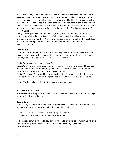Jen: "I was reading over some private studies of welfare and I think it would be better to have people work for their welfare. For example, people could pick up trash, put up signs, and maybe even do skilled labor that they are qualified for. This would probably make people feel better about themselves and it would get more out of our tax money." Sandy: "I see. So, you want to have the poor people out on the streets picking up trash for their checks? Well, you know that is exactly the position David Count endorses." Jen: "Who is he?"

Sandy: "I'm surprised you don't know him, seeing how alike you two are. He was a Grand Mooky Wizard for the Aryan Pure White League and is well known for his hatred of blacks and other minorities. With your views, you'd fit right in to his little racist club." Jen: "So, I should reject my view just because I share it with some racist?" Sandy: "Of course."

# **Example #3:**

Libard and Ferris are discussing who they are going to vote for as the next department chair in the philosophy department. Libard is a radical feminist and she despises Wayne and Bill, who are two sexist professors in the department.

Ferris: "So, who are you going to vote for?"

Libard: 'Well, I was thinking about voting for Jane, since she is a woman and there has never been a woman chair here. But, I think that Steve will do an excellent job. He has a lot of clout in the university and he is a decent person."

Ferris: "You know, Wayne and Bill are supporting him. They really like the idea of having Steve as the new chair. I never thought I'd see you and those two pigs on the same side."

Libard: "Well, maybe it is time that we have a woman as chair."

# **Hasty Generalization**

**Also Known as:** Fallacy of Insufficient Statistics, Fallacy of Insufficient Sample, Leaping to A Conclusion, Hasty Induction

# **Description:**

This fallacy is committed when a person draws a conclusion about a population based on a sample that is not large enough. It has the following form:

- 1. Sample S, which is too small, is taken from population P.
- 2. Conclusion C is drawn about Population P based on S.

The person committing the fallacy is misusing the following type of reasoning, which is known variously as Inductive Generalization, Generalization, and Statistical Generalization: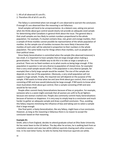- 1. X% of all observed A's are B's.
- 2. Therefore X% of all A's are B's.

The fallacy is committed when not enough A's are observed to warrant the conclusion. If enough A's are observed then the reasoning is not fallacious.

Small samples will tend to be unrepresentative. As a blatant case, asking one person what she thinks about gun control would clearly not provide an adequate sized sample for determining what Canadians in general think about the issue. The general idea is that small samples are less likely to contain numbers proportional to the whole population. For example, if a bucket contains blue, red, green and orange marbles, then a sample of three marbles cannot possible be representative of the whole population of marbles. As the sample size of marbles increases the more likely it becomes that marbles of each color will be selected in proportion to their numbers in the whole population. The same holds true for things others than marbles, such as people and their political views.

Since Hasty Generalization is committed when the sample (the observed instances) is too small, it is important to have samples that are large enough when making a generalization. The most reliable way to do this is to take as large a sample as is practical. There are no fixed numbers as to what counts as being large enough. If the population in question is not very diverse (a population of cloned mice, for example) then a very small sample would suffice. If the population is very diverse (people, for example) then a fairly large sample would be needed. The size of the sample also depends on the size of the population. Obviously, a very small population will not support a huge sample. Finally, the required size will depend on the purpose of the sample. If Bill wants to know what Joe and Jane think about gun control, then a sample consisting of Bill and Jane would (obviously) be large enough. If Bill wants to know what most Australians think about gun control, then a sample consisting of Bill and Jane would be far too small.

People often commit Hasty Generalizations because of bias or prejudice. For example, someone who is a sexist might conclude that all women are unfit to fly jet fighters because one woman crashed one. People also commonly commit Hasty Generalizations because of laziness or sloppiness. It is very easy to simply leap to a conclusion and much harder to gather an adequate sample and draw a justified conclusion. Thus, avoiding this fallacy requires minimizing the influence of bias and taking care to select a sample that is large enough.

One final point: a Hasty Generalization, like any fallacy, might have a true conclusion. However, as long as the reasoning is fallacious there is no reason to accept the conclusion based on that reasoning.

#### **Example #1:**

Smith, who is from England, decides to attend graduate school at Ohio State University. He has never been to the US before. The day after he arrives, he is walking back from an orientation session and sees two white (albino) squirrels chasing each other around a tree. In his next letter home, he tells his family that American squirrels are white.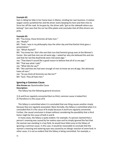Sam is riding her bike in her home town in Maine, minding her own business. A station wagon comes up behind her and the driver starts beeping his horn and then tries to force her off the road. As he goes by, the driver yells "get on the sidewalk where you belong!" Sam sees that the car has Ohio plates and concludes that all Ohio drivers are jerks.

#### **Example #3:**

Bill: "You know, those feminists all hate men."

Joe: "Really?"

Bill: "Yeah. I was in my philosophy class the other day and that Rachel chick gave a presentation."

Joe: "Which Rachel?"

Bill: "You know her. She's the one that runs that feminist group over at the Women's Center. She said that men are all sexist pigs. I asked her why she believed this and she said that her last few boyfriends were real sexist pigs."

Joe: "That doesn't sound like a good reason to believe that all of us are pigs."

Bill: "That was what I said."

Joe: "What did she say?"

Bill: "She said that she had seen enough of men to know we are all pigs. She obviously hates all men."

Joe: "So you think all feminists are like her?"

Bill: "Sure. They all hate men."

# **Ignoring a Common Cause**

**Also Known as:** Questionable Cause

# **Description:**

This fallacy has the following general structure:

1) A and B are regularly connected (but no third, common cause is looked for).

2) Therefore A is the cause of B.

This fallacy is committed when it is concluded that one thing causes another simply because they are regularly associated. More formally, this fallacy is committed when it is concluded that A is the cause of B simply because A and B are regularly connected. Further, the causal conclusion is drawn without considering the possibility that a third factor might be the cause of both A and B.

In many cases, the fallacy is quite evident. For example, if a person claimed that a person's sneezing was caused by her watery eyes and he simply ignored the fact that the woman was standing in a hay field, he would have fallen prey to the fallacy of ignoring a common cause. In this case, it would be reasonable to conclude that the woman's sneezing and watering eyes was caused by an allergic reaction of some kind. In other cases, it is not as evident that the fallacy is being committed. For example, a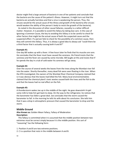doctor might find a large amount of bacteria in one of her patients and conclude that the bacteria are the cause of the patient's illness. However, it might turn out that the bacteria are actually harmless and that a virus is weakening the person, Thus, the viruses would be the actual cause of the illness and growth of the bacteria (the viruses would weaken the ability of the person's body to resist the growth of the bacteria).

As noted in the discussion of other causal fallacies, causality is a rather difficult matter. However, it is possible to avoid this fallacy by taking due care. In the case of Ignoring a Common Cause, the key to avoiding this fallacy is to be careful to check for other factors that might be the actual cause of both the suspected cause and the suspected effect. If a person fails to check for the possibility of a common cause, then they will commit this fallacy. Thus, it is always a good idea to always ask "could there be a third factor that is actually causing both A and B?"

#### **Example #1:**

One day Bill wakes up with a fever. A few hours later he finds that his muscles are sore. He concludes that the fever must have caused the soreness. His friend insists that the soreness and the fever are caused by some microbe. Bill laughs at this and insists that if he spends the day in a tub of cold water his soreness will go away.

#### **Example #2:**

Over the course of several weeks the leaves from the trees along the Wombat river fell into the water. Shortly thereafter, many dead fish were seen floating in the river. When the EPA investigated, the owners of the Wombat River Chemical Company claimed that is it was obvious that the leaves had killed the fish. Many local environmentalists claimed that the chemical plant's toxic wastes caused both the trees and the fish to die and that the leaves had no real effect on the fish.

#### **Example #3:**

A thunderstorm wakes Joe up in the middle of the night. He goes downstairs to get some milk to help him get back to sleep. On the way to the refrigerator, he notices that the barometer has fallen a great deal. Joe concludes that the storm caused the barometer to fall. In the morning he tells his wife about his conclusion. She tells him that it was a drop in atmospheric pressure that caused the barometer to drop and the storm.

#### **Middle Ground**

# **Also Known as:** Golden Mean Fallacy, Fallacy of Moderation **Description:**

This fallacy is committed when it is assumed that the middle position between two extremes must be correct simply because it is the middle position. this sort of "reasoning" has the following form:

- 1. Position A and B are two extreme positions.
- 2. C is a position that rests in the middle between A and B.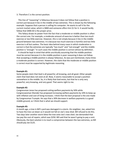3. Therefore C is the correct position.

This line of "reasoning" is fallacious because it does not follow that a position is correct just because it lies in the middle of two extremes. This is shown by the following example. Suppose that a person is selling his computer. He wants to sell it for the current market value, which is \$800 and someone offers him \$1 for it. It would hardly follow that \$400.50 is the proper price.

This fallacy draws its power from the fact that a moderate or middle position is often the correct one. For example, a moderate amount of exercise is better than too much exercise or too little exercise. However, this is not simply because it lies in the middle ground between two extremes. It is because too much exercise is harmful and too little exercise is all but useless. The basic idea behind many cases in which moderation is correct is that the extremes are typically "too much" and "not enough" and the middle position is "enough." In such cases the middle position is correct almost by definition.

It should be kept in mind that while uncritically assuming that the middle position must be correct because it is the middle position is poor reasoning it does not follow that accepting a middle position is always fallacious. As was just mentioned, many times a moderate position is correct. However, the claim that the moderate or middle position is correct must be supported by legitimate reasoning.

#### **Example #1:**

Some people claim that God is all powerful, all knowing, and all good. Other people claim that God does not exist at all. Now, it seems reasonable to accept a position somewhere in the middle. So, it is likely that God exists, but that he is only very powerful, very knowing, and very good. That seems right to me.

#### **Example #2:**

Congressman Jones has proposed cutting welfare payments by 50% while Congresswoman Shender has proposed increasing welfare payments by 10% to keep up with inflation and cost of living increases. I think that the best proposal is the one made by Congressman Trumple. He says that a 30% decrease in welfare payments is a good middle ground, so I think that is what we should support.

#### **Example #3:**

A month ago, a tree in Bill's yard was damaged in a storm. His neighbor, Joe, asked him to have the tree cut down so it would not fall on Joe's new shed. Bill refused to do this. Two days later another storm blew the tree onto Joe's new shed. Joe demanded that Joe pay the cost of repairs, which was \$250. Bill said that he wasn't going to pay a cent. Obviously, the best solution is to reach a compromise between the two extremes, so Bill should pay Joe \$125.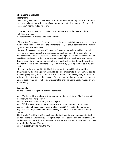# **Misleading Vividness**

# **Description:**

Misleading Vividness is a fallacy in which a very small number of particularly dramatic events are taken to outweigh a significant amount of statistical evidence. This sort of "reasoning" has the following form:

1. Dramatic or vivid event X occurs (and is not in accord with the majority of the statistical evidence) .

2. Therefore events of type X are likely to occur.

This sort of "reasoning" is fallacious because the mere fact that an event is particularly vivid or dramatic does not make the event more likely to occur, especially in the face of significant statistical evidence.

People often accept this sort of "reasoning" because particularly vivid or dramatic cases tend to make a very strong impression on the human mind. For example, if a person survives a particularly awful plane crash, he might be inclined to believe that air travel is more dangerous than other forms of travel. After all, explosions and people dying around him will have a more significant impact on his mind than will the rather dull statistics that a person is more likely to be struck by lightning than killed in a plane crash.

It should be kept in mind that taking into account the possibility of something dramatic or vivid occurring is not always fallacious. For example, a person might decide to never go sky diving because the effects of an accident can be very, very dramatic. If he knows that, statistically, the chances of the accident are happening are very low but he considers even a small risk to be unacceptable, then he would not be making an error in reasoning.

# **Example #1:**

Bill and Jane are talking about buying a computer.

Jane: "I've been thinking about getting a computer. I'm really tired of having to wait in the library to write my papers."

Bill: 'What sort of computer do you want to get?"

Jane: "Well, it has to be easy to use, have a low price and have decent processing power. I've been thinking about getting a Kiwi Fruit 2200. I read in that consumer magazine that they have been found to be very reliable in six independent industry studies."

Bill: "I wouldn't get the Kiwi Fruit. A friend of mine bought one a month ago to finish his master's thesis. He was halfway through it when smoke started pouring out of the CPU. He didn't get his thesis done on time and he lost his financial aid. Now he's working over at the Gut Boy Burger Warehouse."

Jane: "I guess I won't go with the Kiwi!"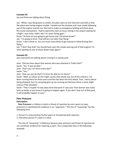Joe and Drew are talking about flying.

Joe: "When I was flying back to school, the pilot came on the intercom and told us that the plane was having engine trouble. I looked out the window and I saw smoke billowing out of the engine nearest me. We had to make an emergency landing and there were fire trucks everywhere. I had to spend the next six hours sitting in the airport waiting for a flight. I was lucky I didn't die! I'm never flying again."

Drew: "So how are you going to get home over Christmas break?"

Joe: "I'm going to drive. That will be a lot safer than flying."

Drew: "I don't think so. You are much more likely to get injured or killed driving than flying."

Joe: "I don't buy that! You should have seen the smoke pouring out of that engine! I'm never getting on one of those death traps again!"

# **Example #3:**

Jane and Sarah are talking about running in a nearby park.

Jane: "Did you hear about that woman who was attacked in Tuttle Park?"

Sarah: "Yes. It was terrible."

Jane: "Don't you run there every day?"

Sarah: "Yes."

Jane: 'How can you do that? I'd never be able to run there!"

Sarah: "Well, as callous as this might sound, that attack was out of the ordinary. I've been running there for three years and this has been the only attack. Sure, I worry about being attacked, but I'm not going give up my running just because there is some slight chance I'll be attacked."

Sarah: "That is stupid! I'd stay away from that park if I was you! That woman was really beat up badly so you know it is going to happen again. If you don't stay out of that park, it will probably happen to you!"

# **Peer Pressure**

# **Description:**

**Peer Pressure** is a fallacy in which a threat of rejection by one's peers (or peer pressure) is substituted for evidence in an "argument." This line of "reasoning" has the following form:

1. Person P is pressured by his/her peers or threatened with rejection.

2. Therefore person P's claim X is false.

This line of "reasoning" is fallacious because peer pressure and threat of rejection do not constitute evidence for rejecting a claim. This is especially clear in the following example: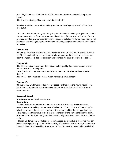Joe: "Bill, I know you think that 1+1=2. But we don't accept that sort of thing in our group."

Bill: "I was just joking. Of course I don't believe that."

It is clear that the pressure from Bill's group has no bearing on the truth of the claim that 1+1=2.

It should be noted that loyalty to a group and the need to belong can give people very strong reasons to conform to the views and positions of those groups. Further, from a practical standpoint we must often compromise our beliefs in order to belong to groups. However, this feeling of loyalty or the need to belong simply do not constitute evidence for a claim.

# **Example #1:**

Bill says that he likes the idea that people should work for their welfare when they can. His friends laugh at him, accuse him of fascist leanings, and threaten to ostracize him from their group. He decides to recant and abandon his position to avoid rejection.

# **Example #2:**

Bill: "I like classical music and I think it is of higher quality than most modern music." Jill: "That stuff is for old people."

Dave: "Yeah, only real sissy monkeys listen to that crap. Besides, Anthrax rules! It Rules!"

Bill: "Well, I don't really like it that much. Anthrax is much better."

# **Example #3:**

Bill thinks that welfare is needed in some cases. His friends in the Young Republicans taunt him every time he makes his views known. He accepts their views in order to avoid rejection.

# **Personal Attack**

# **Also Known as:** Ad Hominem Abusive

# **Description:**

A personal attack is committed when a person substitutes abusive remarks for evidence when attacking another person's claim or claims. This line of "reasoning" is fallacious because the attack is directed at the person making the claim and not the claim itself. The truth value of a claim is independent of the person making the claim. After all, no matter how repugnant an individual might be, he or she can still make true claims.

Not all ad Hominems are fallacious. In some cases, an individual's characteristics can have a bearing on the question of the veracity of her claims. For example, if someone is shown to be a pathological liar, then what he says can be considered to be unreliable.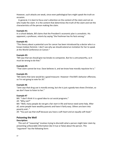However, such attacks are weak, since even pathological liars might speak the truth on occasion.

In general, it is best to focus one's attention on the content of the claim and not on who made the claim. It is the content that determines the truth of the claim and not the characteristics of the person making the claim.

# **Example #1:**

In a school debate, Bill claims that the President's economic plan is unrealistic. His opponent, a professor, retorts by saying "the freshman has his facts wrong."

# **Example #2:**

"This theory about a potential cure for cancer has been introduced by a doctor who is a known lesbian feminist. I don't see why we should extend an invitation for her to speak at the World Conference on Cancer."

# **Example #3:**

"Bill says that we should give tax breaks to companies. But he is untrustworthy, so it must be wrong to do that."

# **Example #4:**

"That claim cannot be true. Dave believes it, and we know how morally repulsive he is."

# **Example #5:**

"Bill claims that Jane would be a good treasurer. However I find Bill's behavior offensive, so I'm not going to vote for Jill."

# **Example #6**

"Jane says that drug use is morally wrong, but she is just a goody‐two shoes Christian, so we don't have to listen to her."

# **Example #7**

Bill: "I don't think it is a good idea to cut social programs." Jill: "Why not?"

Bill: "Well, many people do not get a fair start in life and hence need some help. After all, some people have wealthy parents and have it fairly easy. Others are born into poverty and…"

Jill: "You just say that stuff because you have a soft heart and an equally soft head."

# **Poisoning the Well**

# **Description:**

This sort of "reasoning" involves trying to discredit what a person might later claim by presenting unfavorable information (be it true or false) about the person. This "argument" has the following form: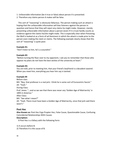- 1. Unfavorable information (be it true or false) about person A is presented.
- 2. Therefore any claims person A makes will be false.

This sort of "reasoning" is obviously fallacious. The person making such an attack is hoping that the unfavorable information will bias listeners against the person in question and hence that they will reject any claims he might make. However, merely presenting unfavorable information about a person (even if it is true) hardly counts as evidence against the claims he/she might make. This is especially clear when Poisoning the Well is looked at as a form of ad Hominem in which the attack is made prior to the person even making the claim or claims. The following example clearly shows that this sort of "reasoning" is quite poor.

#### **Example #1:**

"Don't listen to him, he's a scoundrel."

#### **Example #2:**

"Before turning the floor over to my opponent, I ask you to remember that those who oppose my plans do not have the best wishes of the university at heart."

#### **Example #3:**

You are told, prior to meeting him, that your friend's boyfriend is a decadent wastrel. When you meet him, everything you hear him say is tainted.

#### **Example #4**

Before class

Bill: "Boy, that professor is a real jerk. I think he is some sort of Eurocentric fascist." Jill: "Yeah."

During Class:

Prof. Jones: "…and so we see that there was never any 'Golden Age of Matriarchy' in 1895 in America."

After Class:

Bill: "See what I mean?"

Jill: "Yeah. There must have been a Golden Age of Matriarchy, since that jerk said there wasn't."

# **Post Hoc**

**Also Known as:** Post Hoc Ergo Propter Hoc, False Cause, Questionable Cause, Confusing Coincidental Relationships With Causes

# **Description:**

A Post Hoc is a fallacy with the following form:

1) A occurs before B.

2) Therefore A is the cause of B.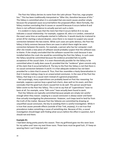The Post Hoc fallacy derives its name from the Latin phrase "Post hoc, ergo propter hoc." This has been traditionally interpreted as "After this, therefore because of this." This fallacy is committed when it is concluded that one event causes another simply because the proposed cause occurred before the proposed effect. More formally, the fallacy involves concluding that A causes or caused B because A occurs before B and there is not sufficient evidence to actually warrant such a claim.

It is evident in many cases that the mere fact that A occurs before B in no way indicates a causal relationship. For example, suppose Jill, who is in London, sneezed at the exact same time an earthquake started in California. It would clearly be irrational to arrest Jill for starting a natural disaster, since there is no reason to suspect any causal connection between the two events. While such cases are quite obvious, the Post Hoc fallacy is fairly common because there are cases in which there might be some connection between the events. For example, a person who has her computer crash after she installs a new piece of software would probably suspect that the software was to blame. If she simply concluded that the software caused the crash because it was installed before the crash she would be committing the Post Hoc fallacy. In such cases the fallacy would be committed because the evidence provided fails to justify acceptance of the causal claim. It is even theoretically possible for the fallacy to be committed when A really does cause B, provided that the "evidence" given consists only of the claim that A occurred before B. The key to the Post Hoc fallacy is not that there is no causal connection between A and B. It is that adequate evidence has not been provided for a claim that A causes B. Thus, Post Hoc resembles a Hasty Generalization in that it involves making a leap to an unwarranted conclusion. In the case of the Post Hoc fallacy, that leap is to a causal claim instead of a general proposition.

Not surprisingly, many superstitions are probably based on Post Hoc reasoning. For example, suppose a person buys a good luck charm, does well on his exam, and then concludes that the good luck charm caused him to do well. This person would have fallen victim to the Post Hoc fallacy. This is not to say that all "superstitions" have no basis at all. For example, some "folk cures" have actually been found to work.

Post Hoc fallacies are typically committed because people are simply not careful enough when they reason. Leaping to a causal conclusion is always easier and faster than actually investigating the phenomenon. However, such leaps tend to land far from the truth of the matter. Because Post Hoc fallacies are committed by drawing an unjustified causal conclusion, the key to avoiding them is careful investigation. While it is true that causes precede effects (outside of Star Trek, anyway), it is not true that precedence makes something a cause of something else. Because of this, a causal investigation should begin with finding what occurs before the effect in question, but it should not end there.

#### **Example #1:**

I had been doing pretty poorly this season. Then my girlfriend gave me this neon laces for my spikes and I won my next three races. Those laces must be good luck…if I keep on wearing them I can't help but win!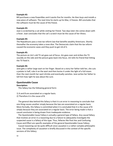Bill purchases a new PowerMac and it works fine for months. He then buys and installs a new piece of software. The next time he starts up his Mac, it freezes. Bill concludes that the software must be the cause of the freeze.

#### **Example #3:**

Joan is scratched by a cat while visiting her friend. Two days later she comes down with a fever. Joan concludes that the cat's scratch must be the cause of her illness.

#### **Example #4:**

The Republicans pass a new tax reform law that benefits wealthy Americans. Shortly thereafter the economy takes a nose dive. The Democrats claim that the tax reform caused the economic woes and they push to get rid of it.

#### **Example #5:**

The picture on Jim's old TV set goes out of focus. Jim goes over and strikes the TV soundly on the side and the picture goes back into focus. Jim tells his friend that hitting the TV fixed it.

#### **Example #6:**

Jane gets a rather large wart on her finger. Based on a story her father told her, she cuts a potato in half, rubs it on the wart and then buries it under the light of a full moon. Over the next month her wart shrinks and eventually vanishes. Jane writes her father to tell him how right he was about the cure.

# **Questionable Cause**

#### **Description:**

This fallacy has the following general form:

1) A and B are associated on a regular basis.

2) Therefore A is the cause of B.

The general idea behind this fallacy is that it is an error in reasoning to conclude that one thing causes another simply because the two are associated on a regular basis. More formally, this fallacy is committed when it is concluded that A is the cause of B simply because they are associated on a regular basis. The error being made is that a causal conclusion is being drawn from inadequate evidence.

The Questionable Cause Fallacy is actually a general type of fallacy. Any causal fallacy that involves an error in a reasoning due to a failure to adequately investigate the suspected cause is a fallacy of this type. Thus, fallacies like Post Hoc and Confusing Cause and Effect are specific examples of the general Questionable Cause Fallacy.

Causal reasoning can be quite difficult since causation is a rather complex philosophic issue. The complexity of causation is briefly discussed in the context of the specific versions of this fallacy.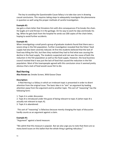The key to avoiding the Questionable Cause fallacy is to take due care in drawing causal conclusions. This requires taking steps to adequately investigate the phenomena in question as well using the proper methods of careful investigation.

#### **Example #1:**

Joe gets a chain letter that threatens him with dire consequences if he breaks the chain. He laughs at it and throws it in the garbage. On his way to work he slips and breaks his leg. When he gets back from the hospital he sends out 200 copies of the chain letter, hoping to avoid further accidents.

#### **Example #2:**

When investigating a small pond a group of graduate students found that there was a severe drop in the fish population. Further investigation revealed that the fishes' food supply had also been severely reduced. At first the students believed that the lack of food was killing the fish, but then they realized they had to find what was causing the decline in the food supply. The students suspected acid rain was the cause of both the reduction in the fish population as well as the food supply. However, the local business council insisted that it was just the lack of food that caused the reduction in the fish population. Most of the townspeople agreed with this conclusion since it seemed pretty obvious that a lack of food would cause fish to die.

#### **Red Herring**

**Also Known as:** Smoke Screen, Wild Goose Chase

#### **Description:**

A Red Herring is a fallacy in which an irrelevant topic is presented in order to divert attention from the original issue. The basic idea is to "win" an argument by leading attention away from the argument and to another topic. This sort of "reasoning" has the following form:

1. Topic A is under discussion.

2. Topic B is introduced under the guise of being relevant to topic A (when topic B is actually not relevant to topic A).

3. Topic A is abandoned.

This sort of "reasoning" is fallacious because merely changing the topic of discussion hardly counts as an argument against a claim.

#### **Example #1:**

"Argument" against a bond measure:

"We admit that this measure is popular. But we also urge you to note that there are so many bond issues on this ballot that the whole thing is getting ridiculous."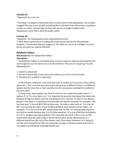"Argument" for a tax cut:

"You know, I've begun to think that there is some merit in the Republicans' tax cut plan. I suggest that you come up with something like it, because If we Democrats are going to survive as a party, we have got to show that we are as tough‐minded as the Republicans, since that is what the public wants.

# **Example #3:**

"Argument" for making grad school requirements stricter:

"I think there is great merit in making the requirements stricter for the graduate students. I recommend that you support it, too. After all, we are in a budget crisis and we do not want our salaries affected."

# **Relativist Fallacy**

**Also Known as:** The Subjectivist Fallacy **Description:**

The Relativist Fallacy is committed when a person rejects a claim by asserting that the claim might be true for others but is not for him/her. This sort of "reasoning" has the following form:

- 1. Claim X is presented.
- 2. Person A asserts that X may be true for others but is not true for him/her.
- 3. Therefore A is justified in rejecting X.

In this context, relativism is the view that truth is relative to Z (a person, time, culture, place, etc.). This is not the view that claims will be true at different times or of different people, but the view that a claim could be true for one person and false for another at the same time.

In many cases, when people say "that X is true for me" what they really mean is "I believe X" or "X is true about me." It is important to be quite clear about the distinction between being true about a person and being true for a person. A claim is true about a person if the claim is a statement that describes the person correctly. For example, "Bill has blue eyes" is true of Bill if Bill has blue eyes. To make a claim such as " X is true for Bill" is to say that the claim is true for Bill and that it need not be true for others. For example: "1+1=23 is true for Bill" would mean that, for Bill, 1+1 actually does equal 23, not that he merely believes that 1+1=23 (that would be "It is true of Bill that he believes 1+1=23"). Another example would be "The claim that the earth is flat is true for Bill" would mean that the earth really is flat for Bill (in other words, Bill would be in a different world than the rest of the human race). Since these situations (1+1 being 23 and the earth being flat for Bill ) are extremely strange, it certainly seems that truth is not relative to individuals (although beliefs are).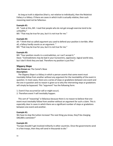As long as truth is objective (that is, not relative to individuals), then the Relativist Fallacy is a fallacy. If there are cases in which truth is actually relative, then such reasoning need not be fallacious.

#### **Example #1:**

Jill: "Look at this, Bill. I read that people who do not get enough exercise tend to be unhealthy."

Bill: "That may be true for you, but it is not true for me."

#### **Example #2:**

Jill: "I think that so called argument you used to defend your position is terrible. After all, a fallacy hardly counts as an argument. "

Bill: "That may be true for you, but it is not true for me."

#### **Example #3:**

Bill: "Your position results in a contradiction, so I can't accept it." Dave: "Contradictions may be bad in your Eurocentric, oppressive, logical world view, but I don't think they are bad. Therefore my position is just fine."

#### **Slippery Slope**

#### **Also Known as:** The Camel's Nose

#### **Description:**

The Slippery Slope is a fallacy in which a person asserts that some event must inevitably follow from another without any argument for the inevitability of the event in question. In most cases, there are a series of steps or gradations between one event and the one in question and no reason is given as to why the intervening steps or gradations will simply be bypassed. This "argument" has the following form:

1. Event X has occurred (or will or might occur).

2. Therefore event Y will inevitably happen.

This sort of "reasoning" is fallacious because there is no reason to believe that one event must inevitably follow from another without an argument for such a claim. This is especially clear in cases in which there are a significant number of steps or gradations between one event and another.

#### **Example #1:**

We have to stop the tuition increase! The next thing you know, they'll be charging \$40,000 a semester!"

#### **Example #2:**

"Europe shouldn't get involved militarily in other countries. Once the governments send in a few troops, then they will send in thousands to die."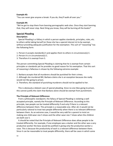"You can never give anyone a break. If you do, they'll walk all over you."

#### **Example #4:**

"We've got to stop them from banning pornographic web sites. Once they start banning that, they will never stop. Next thing you know, they will be burning all the books!"

#### **Special Pleading**

#### **Description:**

Special Pleading is a fallacy in which a person applies standards, principles, rules, etc. to others while taking herself (or those she has a special interest in) to be exempt, without providing adequate justification for the exemption. This sort of "reasoning" has the following form:

1. Person A accepts standard(s) S and applies them to others in circumstance(s) C.

- 2. Person A is in circumstance(s) C.
- 3. Therefore A is exempt from S.

The person committing Special Pleading is claiming that he is exempt from certain principles or standards yet he provides no good reason for his exemption. That this sort of reasoning is fallacious is shown by the following extreme example:

1. Barbara accepts that all murderers should be punished for their crimes.

2. Although she murdered Bill, Barbara claims she is an exception because she really would not like going to prison.

3. Therefore, the standard of punishing murderers should not be applied to her.

This is obviously a blatant case of special pleading. Since no one likes going to prison, this cannot justify the claim that Barbara alone should be exempt from punishment.

#### **The Principle of Relevant Difference**

From a philosophic standpoint, the fallacy of Special Pleading is violating a well accepted principle, namely the Principle of Relevant Difference. According to this principle, two people can be treated differently if and only if there is a relevant difference between them. This principle is a reasonable one. After all, it would not be particularly rational to treat two people differently when there is no relevant difference between them. As an extreme case, it would be very odd for a parent to insist on making one child wear size 5 shoes and the other wear size 7 shoes when the children are both size 5.

It should be noted that the Principle of Relevant Difference does allow people to be treated differently. For example, if one employee was a slacker and the other was a very productive worker the boss would be justified in giving only the productive worker a raise. This is because the productivity of each is a relevant difference between them. Since it can be reasonable to treat people differently, there will be cases in which some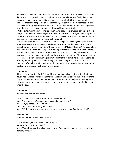people will be exempt from the usual standards. For example, if it is Bill's turn to cook dinner and Bill is very ill, it would not be a case of Special Pleading if Bill asked to be excused from making dinner (this, of course, assumes that Bill does not accept a standard that requires people to cook dinner regardless of the circumstances). In this case Bill is offering a good reason as to why he should be exempt and, most importantly, it would be a good reason for anyone who was ill and not just Bill.

While determining what counts as a legitimate basis for exemption can be a difficult task, it seems clear that claiming you are exempt because you are you does not provide such a legitimate basis. Thus, unless a clear and relevant justification for exemption can be presented, a person cannot claim to be exempt.

There are cases which are similar to instances of Special Pleading in which a person is offering at least some reason why he should be exempt but the reason is not good enough to warrant the exemption. This could be called "Failed Pleading." For example, a professor may claim to be exempt from helping the rest of the faculty move books to the new department office because it would be beneath his dignity. However, this is not a particularly good reason and would hardly justify his exemption. If it turns out that the real "reason" a person is claiming exemption is that they simply take themselves to be exempt, then they would be committing Special Pleading. Such cases will be fairly common. After all, it is fairly rare for adults to simply claim they are exempt without at least some pretense of justifying the exemption.

#### **Example #1:**

Bill and Jill are married. Both Bill and Jill have put in a full day at the office. Their dog, Rover, has knocked over all the plants in one room and has strewn the dirt all over the carpet. When they return, Bill tells Jill that it is her job to clean up after the dog. When she protests, he says that he has put in a full day at the office and is too tired to clean up after the dog.

#### **Example #2:**

Jane and Sue share a dorm room.

Jane: "Turn of that stupid stereo, I want to take a nap." Sue: 'Why should I? What are you exhausted or something?" Jane: "No, I just feel like taking a nap." Sue: "Well, I feel like playing my stereo." Jane: "Well, I'm taking my nap. You have to turn your stereo off and that's final."

#### **Example #3:**

Mike and Barbara share an apartment.

Mike: "Barbara, you've tracked in mud again." Barbara: "So? It's not my fault." Mike: "Sure. I suppose it walked in on its own. You made the mess, so you clean it up." Barbara: "Why?"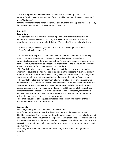Mike: "We agreed that whoever makes a mess has to clean it up. That is fair." Barbara: "Well, I'm going to watch TV. If you don't like the mud, then you clean it up." Mike: "Barbara…"

Barbara: "What? I want to watch the show. I don't want to clean up the mud. Like I said, if it bothers you that much, then you should clean it up."

# **Spotlight**

#### **Description:**

The Spotlight fallacy is committed when a person uncritically assumes that all members or cases of a certain class or type are like those that receive the most attention or coverage in the media. This line of "reasoning" has the following form:

1. Xs with quality Q receive a great deal of attention or coverage in the media.

2. Therefore all Xs have quality Q.

This line of reasoning is fallacious since the mere fact that someone or something attracts the most attention or coverage in the media does not mean that it automatically represents the whole population. For example, suppose a mass murderer from Old Town, Maine received a great deal of attention in the media. It would hardly follow that everyone from the town is a mass murderer.

The Spotlight fallacy derives its name from the fact that receiving a great deal of attention or coverage is often referred to as being in the spotlight. It is similar to Hasty Generalization, Biased Sample and Misleading Vividness because the error being made involves generalizing about a population based on an inadequate or flawed sample.

The Spotlight Fallacy is a very common fallacy. This fallacy most often occurs when people assume that those who receive the most media attention actually represent the groups they belong to. For example, some people began to believe that all those who oppose abortion are willing to gun down doctors in cold blood simply because those incidents received a great deal of media attention. Since the media typically covers people or events that are unusual or exceptional, it is somewhat odd for people to believe that such people or events are representative.

For brief discussions of adequate samples and generalizations, see the entries for Hasty Generalization and Biased Sample.

# **Example #1:**

Bill: "Jane, you say you are a feminist, but you can't be."

Jane: "What! What do you mean? Is this one of your stupid jokes or something?" Bill: "No, I'm serious. Over the summer I saw feminists appear on several talk shows and news shows and I read about them in the papers. The women were really bitter and said that women were victims of men and needed to be given special compensation. You are always talking about equal rights and forging your own place in the world. So, you can't be a feminist."

Jane: "Bill, there are many types of feminism, not just the brands that get media attention."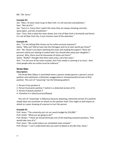Bill: "Oh. Sorry."

# **Example #2:**

Joe: "Man, I'd never want to go to New York. It is all concrete and pollution." Sam: "Not all of it."

Joe: "Sure it is. Every time I watch the news they are always showing concrete, skyscrapers, and lots of pollution."

Sam: "Sure, that is what the news shows, but a lot of New York is farmlands and forest. It is not all New York City, it just receives most of the attention."

# **Example #3:**

Ann: "I'm not letting little Jimmy use his online account anymore!" Sasha: "Why not? Did he hack into the Pentagon and try to start world war three?" Ann: "No. Haven't you been watching the news and reading the papers? There are perverts online just waiting to molest kids! You should take away your daughter's account. Why, there must be thousands of sickos out there!"

Sasha: "Really? I thought that there were only a very few cases."

Ann: "I'm not sure of the exact number, but if the media is covering it so much , then most people who are online must be indecent."

# **Straw Man**

# **Description:**

The Straw Man fallacy is committed when a person simply ignores a person's actual position and substitutes a distorted, exaggerated or misrepresented version of that position. This sort of "reasoning" has the following pattern:

- 1. Person A has position X.
- 2. Person B presents position Y (which is a distorted version of X).
- 3. Person B attacks position Y.
- 4. Therefore X is false/incorrect/flawed.

This sort of "reasoning" is fallacious because attacking a distorted version of a position simply does not constitute an attack on the position itself. One might as well expect an attack on a poor drawing of a person to hurt the person.

# **Example #1:**

Prof. Jones: "The university just cut our yearly budget by \$10,000."

Prof. Smith: "What are we going to do?"

Prof. Brown: "I think we should eliminate one of the teaching assistant positions. That would take care of it."

Prof. Jones: "We could reduce our scheduled raises instead."

Prof. Brown:" I can't understand why you want to bleed us dry like that, Jones."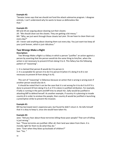"Senator Jones says that we should not fund the attack submarine program. I disagree entirely. I can't understand why he wants to leave us defenseless like that."

# **Example #3:**

Bill and Jill are arguing about cleaning out their closets:

Jill: "We should clean out the closets. They are getting a bit messy."

Bill: "Why, we just went through those closets last year. Do we have to clean them out every day?"

Jill: I never said anything about cleaning them out every day. You just want too keep all your junk forever, which is just ridiculous."

# **Two Wrongs Make a Right**

# **Description:**

Two Wrongs Make a Right is a fallacy in which a person "justifies" an action against a person by asserting that the person would do the same thing to him/her, when the action is not necessary to prevent B from doing X to A. This fallacy has the following pattern of "reasoning":

1. It is claimed that person B would do X to person A.

2. It is acceptable for person A to do X to person B (when A's doing X to B is not necessary to prevent B from doing X to A).

This sort of "reasoning" is fallacious because an action that is wrong is wrong even if another person would also do it.

It should be noted that it can be the case that it is not wrong for A to do X to B if X is done to prevent B from doing X to A or if X is done in justified retribution. For example, if Sally is running in the park and Biff tries to attack her, Sally would be justified in attacking Biff to defend herself. As another example, if country A is planning to invade country B in order to enslave the people, then country B would be justified in launching a preemptive strike to prevent the invasion.

# **Example #1:**

Bill has borrowed Jane's expensive pen, but found he didn't return it. He tells himself that it is okay to keep it, since she would have taken his.

# **Example #2:**

Jane: "Did you hear about those terrorists killing those poor people? That sort of killing is just wrong."

Sue: "Those terrorists are justified. After all, their land was taken from them. It is morally right for them to do what they do."

Jane: "Even when they blow up busloads of children?" Sue: "Yes. "